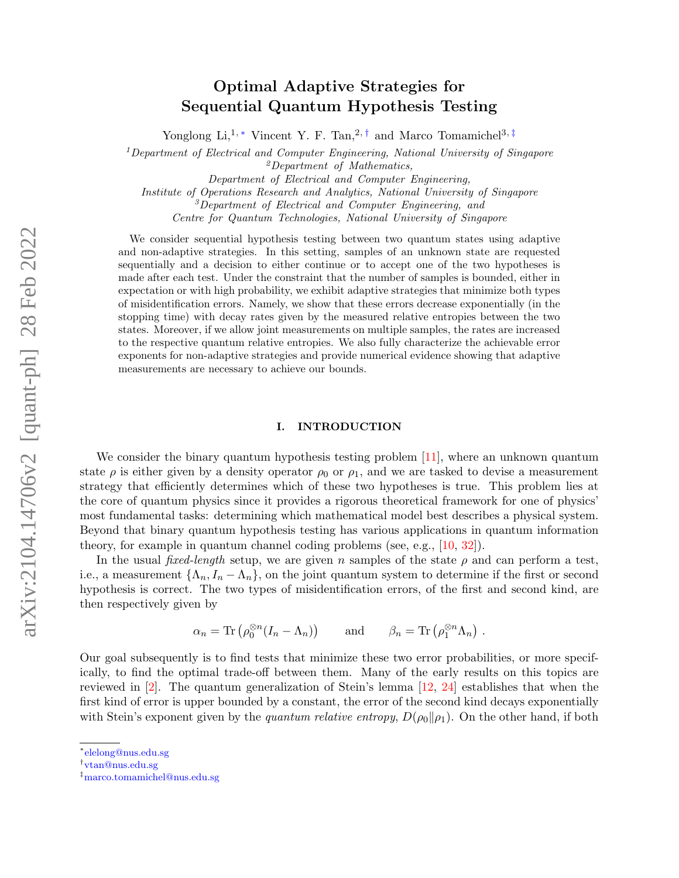# arXiv:2104.14706v2 [quant-ph] 28 Feb 2022 arXiv:2104.14706v2 [quant-ph] 28 Feb 2022

# Optimal Adaptive Strategies for Sequential Quantum Hypothesis Testing

Yonglong Li,<sup>1,\*</sup> Vincent Y. F. Tan,<sup>2,[†](#page-0-1)</sup> and Marco Tomamichel<sup>3,[‡](#page-0-2)</sup>

 $1$ Department of Electrical and Computer Engineering, National University of Singapore

<sup>2</sup>Department of Mathematics,

Department of Electrical and Computer Engineering,

Institute of Operations Research and Analytics, National University of Singapore

<sup>3</sup>Department of Electrical and Computer Engineering, and

Centre for Quantum Technologies, National University of Singapore

We consider sequential hypothesis testing between two quantum states using adaptive and non-adaptive strategies. In this setting, samples of an unknown state are requested sequentially and a decision to either continue or to accept one of the two hypotheses is made after each test. Under the constraint that the number of samples is bounded, either in expectation or with high probability, we exhibit adaptive strategies that minimize both types of misidentification errors. Namely, we show that these errors decrease exponentially (in the stopping time) with decay rates given by the measured relative entropies between the two states. Moreover, if we allow joint measurements on multiple samples, the rates are increased to the respective quantum relative entropies. We also fully characterize the achievable error exponents for non-adaptive strategies and provide numerical evidence showing that adaptive measurements are necessary to achieve our bounds.

# I. INTRODUCTION

We consider the binary quantum hypothesis testing problem  $[11]$ , where an unknown quantum state  $\rho$  is either given by a density operator  $\rho_0$  or  $\rho_1$ , and we are tasked to devise a measurement strategy that efficiently determines which of these two hypotheses is true. This problem lies at the core of quantum physics since it provides a rigorous theoretical framework for one of physics' most fundamental tasks: determining which mathematical model best describes a physical system. Beyond that binary quantum hypothesis testing has various applications in quantum information theory, for example in quantum channel coding problems (see, e.g., [\[10,](#page-31-1) [32\]](#page-32-0)).

In the usual fixed-length setup, we are given n samples of the state  $\rho$  and can perform a test, i.e., a measurement  $\{\Lambda_n, I_n - \Lambda_n\}$ , on the joint quantum system to determine if the first or second hypothesis is correct. The two types of misidentification errors, of the first and second kind, are then respectively given by

$$
\alpha_n = \text{Tr}\left(\rho_0^{\otimes n}(I_n - \Lambda_n)\right) \quad \text{and} \quad \beta_n = \text{Tr}\left(\rho_1^{\otimes n}\Lambda_n\right) .
$$

Our goal subsequently is to find tests that minimize these two error probabilities, or more specifically, to find the optimal trade-off between them. Many of the early results on this topics are reviewed in  $[2]$ . The quantum generalization of Stein's lemma  $[12, 24]$  $[12, 24]$  $[12, 24]$  establishes that when the first kind of error is upper bounded by a constant, the error of the second kind decays exponentially with Stein's exponent given by the quantum relative entropy,  $D(\rho_0||\rho_1)$ . On the other hand, if both

<span id="page-0-0"></span><sup>∗</sup> [elelong@nus.edu.sg](mailto:elelong@nus.edu.sg)

<span id="page-0-1"></span><sup>†</sup> [vtan@nus.edu.sg](mailto:vtan@nus.edu.sg)

<span id="page-0-2"></span><sup>‡</sup>[marco.tomamichel@nus.edu.sg](mailto:marco.tomamichel@nus.edu.sg)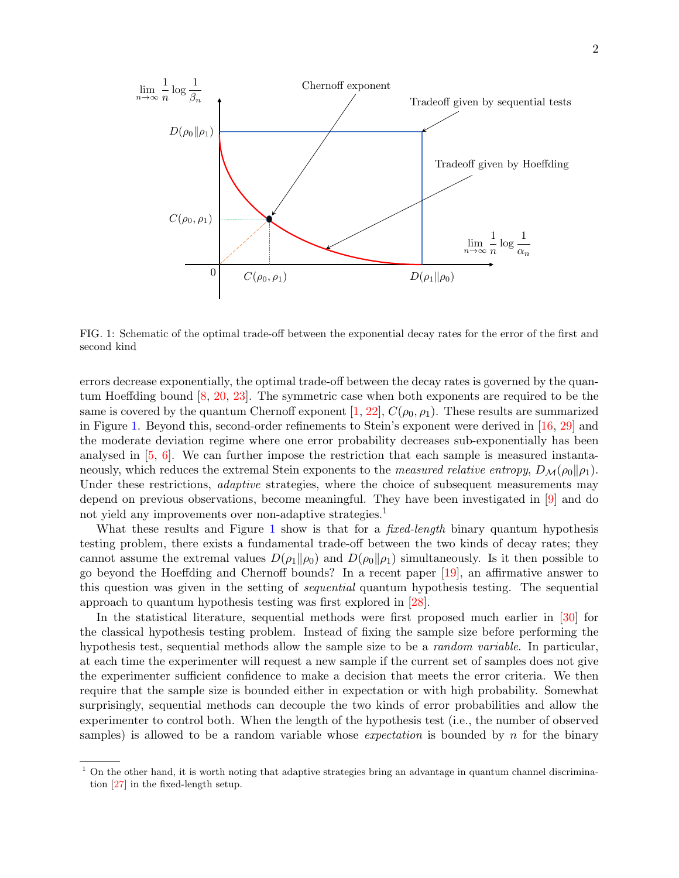

<span id="page-1-0"></span>FIG. 1: Schematic of the optimal trade-off between the exponential decay rates for the error of the first and second kind

errors decrease exponentially, the optimal trade-off between the decay rates is governed by the quantum Hoeffding bound [\[8,](#page-31-3) [20,](#page-32-3) [23\]](#page-32-4). The symmetric case when both exponents are required to be the same is covered by the quantum Chernoff exponent [\[1,](#page-31-4) [22\]](#page-32-5),  $C(\rho_0, \rho_1)$ . These results are summarized in Figure [1.](#page-1-0) Beyond this, second-order refinements to Stein's exponent were derived in [\[16,](#page-32-6) [29\]](#page-32-7) and the moderate deviation regime where one error probability decreases sub-exponentially has been analysed in  $[5, 6]$  $[5, 6]$  $[5, 6]$ . We can further impose the restriction that each sample is measured instantaneously, which reduces the extremal Stein exponents to the *measured relative entropy*,  $D_{\mathcal{M}}(\rho_0||\rho_1)$ . Under these restrictions, *adaptive* strategies, where the choice of subsequent measurements may depend on previous observations, become meaningful. They have been investigated in [\[9\]](#page-31-7) and do not yield any improvements over non-adaptive strategies.<sup>1</sup>

What these results and Figure [1](#page-1-0) show is that for a *fixed-length* binary quantum hypothesis testing problem, there exists a fundamental trade-off between the two kinds of decay rates; they cannot assume the extremal values  $D(\rho_1 \| \rho_0)$  and  $D(\rho_0 \| \rho_1)$  simultaneously. Is it then possible to go beyond the Hoeffding and Chernoff bounds? In a recent paper [\[19\]](#page-32-8), an affirmative answer to this question was given in the setting of sequential quantum hypothesis testing. The sequential approach to quantum hypothesis testing was first explored in [\[28\]](#page-32-9).

In the statistical literature, sequential methods were first proposed much earlier in [\[30\]](#page-32-10) for the classical hypothesis testing problem. Instead of fixing the sample size before performing the hypothesis test, sequential methods allow the sample size to be a random variable. In particular, at each time the experimenter will request a new sample if the current set of samples does not give the experimenter sufficient confidence to make a decision that meets the error criteria. We then require that the sample size is bounded either in expectation or with high probability. Somewhat surprisingly, sequential methods can decouple the two kinds of error probabilities and allow the experimenter to control both. When the length of the hypothesis test (i.e., the number of observed samples) is allowed to be a random variable whose *expectation* is bounded by n for the binary

 $1$  On the other hand, it is worth noting that adaptive strategies bring an advantage in quantum channel discrimination [\[27\]](#page-32-11) in the fixed-length setup.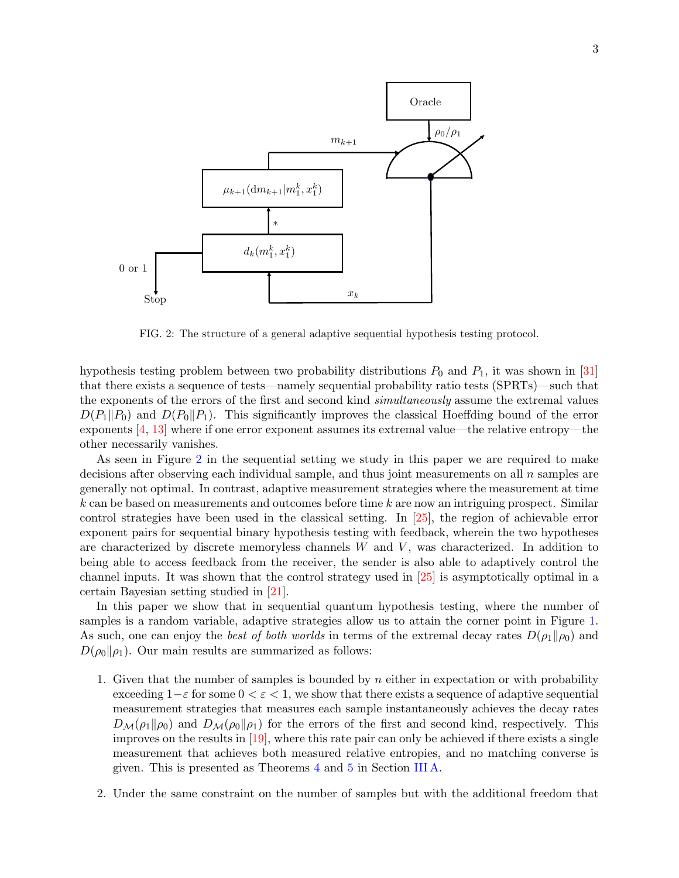

<span id="page-2-0"></span>FIG. 2: The structure of a general adaptive sequential hypothesis testing protocol.

hypothesis testing problem between two probability distributions  $P_0$  and  $P_1$ , it was shown in [\[31\]](#page-32-12) that there exists a sequence of tests—namely sequential probability ratio tests (SPRTs)—such that the exponents of the errors of the first and second kind simultaneously assume the extremal values  $D(P_1||P_0)$  and  $D(P_0||P_1)$ . This significantly improves the classical Hoeffding bound of the error exponents [\[4,](#page-31-8) [13\]](#page-32-13) where if one error exponent assumes its extremal value—the relative entropy—the other necessarily vanishes.

As seen in Figure [2](#page-2-0) in the sequential setting we study in this paper we are required to make decisions after observing each individual sample, and thus joint measurements on all  $n$  samples are generally not optimal. In contrast, adaptive measurement strategies where the measurement at time  $k$  can be based on measurements and outcomes before time  $k$  are now an intriguing prospect. Similar control strategies have been used in the classical setting. In [\[25\]](#page-32-14), the region of achievable error exponent pairs for sequential binary hypothesis testing with feedback, wherein the two hypotheses are characterized by discrete memoryless channels  $W$  and  $V$ , was characterized. In addition to being able to access feedback from the receiver, the sender is also able to adaptively control the channel inputs. It was shown that the control strategy used in [\[25\]](#page-32-14) is asymptotically optimal in a certain Bayesian setting studied in [\[21\]](#page-32-15).

In this paper we show that in sequential quantum hypothesis testing, where the number of samples is a random variable, adaptive strategies allow us to attain the corner point in Figure [1.](#page-1-0) As such, one can enjoy the best of both worlds in terms of the extremal decay rates  $D(\rho_1||\rho_0)$  and  $D(\rho_0||\rho_1)$ . Our main results are summarized as follows:

- 1. Given that the number of samples is bounded by  $n$  either in expectation or with probability exceeding  $1-\varepsilon$  for some  $0 < \varepsilon < 1$ , we show that there exists a sequence of adaptive sequential measurement strategies that measures each sample instantaneously achieves the decay rates  $D_{\mathcal{M}}(\rho_1||\rho_0)$  and  $D_{\mathcal{M}}(\rho_0||\rho_1)$  for the errors of the first and second kind, respectively. This improves on the results in [\[19\]](#page-32-8), where this rate pair can only be achieved if there exists a single measurement that achieves both measured relative entropies, and no matching converse is given. This is presented as Theorems [4](#page-7-0) and [5](#page-7-1) in Section [III A.](#page-7-2)
- 2. Under the same constraint on the number of samples but with the additional freedom that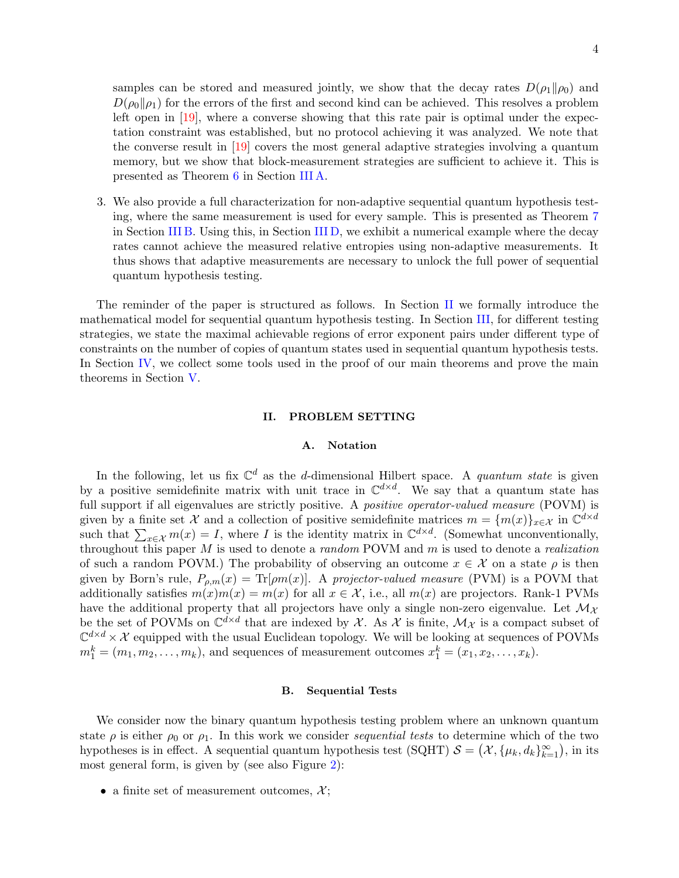samples can be stored and measured jointly, we show that the decay rates  $D(\rho_1||\rho_0)$  and  $D(\rho_0\|\rho_1)$  for the errors of the first and second kind can be achieved. This resolves a problem left open in [\[19\]](#page-32-8), where a converse showing that this rate pair is optimal under the expectation constraint was established, but no protocol achieving it was analyzed. We note that the converse result in [\[19\]](#page-32-8) covers the most general adaptive strategies involving a quantum memory, but we show that block-measurement strategies are sufficient to achieve it. This is presented as Theorem [6](#page-8-0) in Section [III A.](#page-7-2)

3. We also provide a full characterization for non-adaptive sequential quantum hypothesis testing, where the same measurement is used for every sample. This is presented as Theorem [7](#page-8-1) in Section [III B.](#page-8-2) Using this, in Section [III D,](#page-9-0) we exhibit a numerical example where the decay rates cannot achieve the measured relative entropies using non-adaptive measurements. It thus shows that adaptive measurements are necessary to unlock the full power of sequential quantum hypothesis testing.

The reminder of the paper is structured as follows. In Section [II](#page-3-0) we formally introduce the mathematical model for sequential quantum hypothesis testing. In Section [III,](#page-7-3) for different testing strategies, we state the maximal achievable regions of error exponent pairs under different type of constraints on the number of copies of quantum states used in sequential quantum hypothesis tests. In Section [IV,](#page-10-0) we collect some tools used in the proof of our main theorems and prove the main theorems in Section [V.](#page-13-0)

### <span id="page-3-0"></span>II. PROBLEM SETTING

# A. Notation

In the following, let us fix  $\mathbb{C}^d$  as the d-dimensional Hilbert space. A quantum state is given by a positive semidefinite matrix with unit trace in  $\mathbb{C}^{d \times d}$ . We say that a quantum state has full support if all eigenvalues are strictly positive. A *positive operator-valued measure* (POVM) is given by a finite set X and a collection of positive semidefinite matrices  $m = \{m(x)\}_{x \in \mathcal{X}}$  in  $\mathbb{C}^{d \times d}$ such that  $\sum_{x \in \mathcal{X}} m(x) = I$ , where I is the identity matrix in  $\mathbb{C}^{d \times d}$ . (Somewhat unconventionally, throughout this paper  $M$  is used to denote a *random* POVM and  $m$  is used to denote a *realization* of such a random POVM.) The probability of observing an outcome  $x \in \mathcal{X}$  on a state  $\rho$  is then given by Born's rule,  $P_{\rho,m}(x) = \text{Tr}[\rho m(x)]$ . A projector-valued measure (PVM) is a POVM that additionally satisfies  $m(x)m(x) = m(x)$  for all  $x \in \mathcal{X}$ , i.e., all  $m(x)$  are projectors. Rank-1 PVMs have the additional property that all projectors have only a single non-zero eigenvalue. Let  $\mathcal{M}_{\chi}$ be the set of POVMs on  $\mathbb{C}^{d\times d}$  that are indexed by X. As X is finite,  $\mathcal{M}_{\mathcal{X}}$  is a compact subset of  $\mathbb{C}^{d \times d} \times \mathcal{X}$  equipped with the usual Euclidean topology. We will be looking at sequences of POVMs  $m_1^k = (m_1, m_2, \ldots, m_k)$ , and sequences of measurement outcomes  $x_1^k = (x_1, x_2, \ldots, x_k)$ .

### <span id="page-3-1"></span>B. Sequential Tests

We consider now the binary quantum hypothesis testing problem where an unknown quantum state  $\rho$  is either  $\rho_0$  or  $\rho_1$ . In this work we consider sequential tests to determine which of the two hypotheses is in effect. A sequential quantum hypothesis test (SQHT)  $S = (\mathcal{X}, {\mu_k, d_k}_{k=1}^{\infty})$ , in its most general form, is given by (see also Figure [2\)](#page-2-0):

• a finite set of measurement outcomes,  $\mathcal{X}$ ;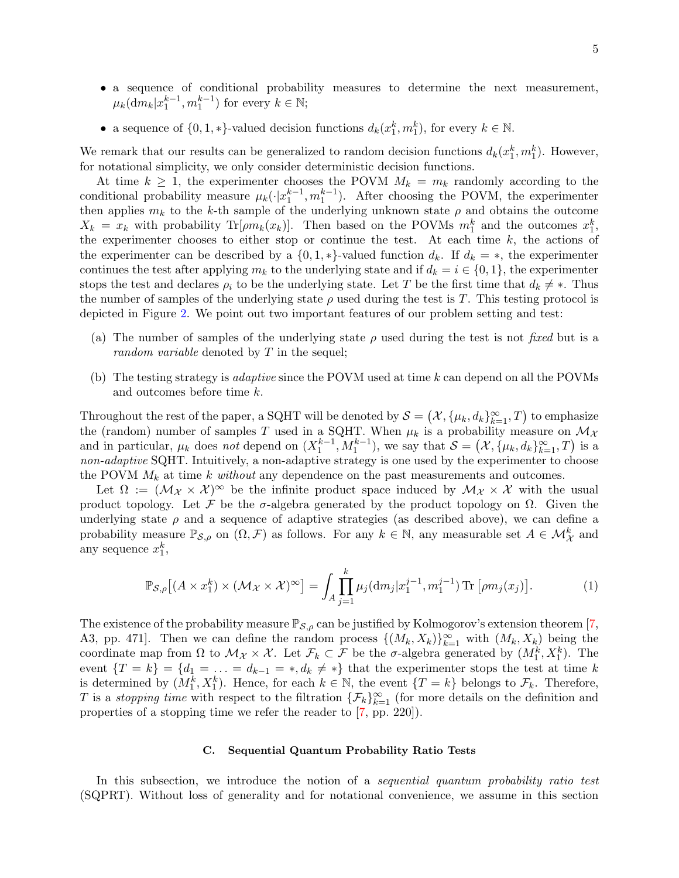- a sequence of conditional probability measures to determine the next measurement,  $\mu_k(\mathrm{d}m_k|x_1^{k-1}, m_1^{k-1})$  for every  $k \in \mathbb{N}$ ;
- a sequence of  $\{0,1,*\}$ -valued decision functions  $d_k(x_1^k, m_1^k)$ , for every  $k \in \mathbb{N}$ .

We remark that our results can be generalized to random decision functions  $d_k(x_1^k, m_1^k)$ . However, for notational simplicity, we only consider deterministic decision functions.

At time  $k \geq 1$ , the experimenter chooses the POVM  $M_k = m_k$  randomly according to the conditional probability measure  $\mu_k(\cdot|x_1^{k-1}, m_1^{k-1})$ . After choosing the POVM, the experimenter then applies  $m_k$  to the k-th sample of the underlying unknown state  $\rho$  and obtains the outcome  $X_k = x_k$  with probability Tr[ $\rho m_k(x_k)$ ]. Then based on the POVMs  $m_1^k$  and the outcomes  $x_1^k$ , the experimenter chooses to either stop or continue the test. At each time  $k$ , the actions of the experimenter can be described by a  $\{0, 1, *\}$ -valued function  $d_k$ . If  $d_k = *$ , the experimenter continues the test after applying  $m_k$  to the underlying state and if  $d_k = i \in \{0, 1\}$ , the experimenter stops the test and declares  $\rho_i$  to be the underlying state. Let T be the first time that  $d_k \neq *$ . Thus the number of samples of the underlying state  $\rho$  used during the test is T. This testing protocol is depicted in Figure [2.](#page-2-0) We point out two important features of our problem setting and test:

- (a) The number of samples of the underlying state  $\rho$  used during the test is not *fixed* but is a random variable denoted by T in the sequel;
- (b) The testing strategy is adaptive since the POVM used at time k can depend on all the POVMs and outcomes before time k.

Throughout the rest of the paper, a SQHT will be denoted by  $S = (\mathcal{X}, \{\mu_k, d_k\}_{k=1}^{\infty}, T)$  to emphasize the (random) number of samples T used in a SQHT. When  $\mu_k$  is a probability measure on  $\mathcal{M}_{\mathcal{X}}$ and in particular,  $\mu_k$  does not depend on  $(X_1^{k-1}, M_1^{k-1})$ , we say that  $\mathcal{S} = (\mathcal{X}, \{\mu_k, d_k\}_{k=1}^{\infty}, T)$  is a non-adaptive SQHT. Intuitively, a non-adaptive strategy is one used by the experimenter to choose the POVM  $M_k$  at time k without any dependence on the past measurements and outcomes.

Let  $\Omega := (\mathcal{M}_\mathcal{X} \times \mathcal{X})^\infty$  be the infinite product space induced by  $\mathcal{M}_\mathcal{X} \times \mathcal{X}$  with the usual product topology. Let F be the  $\sigma$ -algebra generated by the product topology on  $\Omega$ . Given the underlying state  $\rho$  and a sequence of adaptive strategies (as described above), we can define a probability measure  $\mathbb{P}_{\mathcal{S},\rho}$  on  $(\Omega,\mathcal{F})$  as follows. For any  $k \in \mathbb{N}$ , any measurable set  $A \in \mathcal{M}_{\mathcal{X}}^k$  and any sequence  $x_1^k$ ,

$$
\mathbb{P}_{\mathcal{S},\rho}\left[ (A \times x_1^k) \times (\mathcal{M}_{\mathcal{X}} \times \mathcal{X})^{\infty} \right] = \int_A \prod_{j=1}^k \mu_j(\mathrm{d}m_j | x_1^{j-1}, m_1^{j-1}) \mathrm{Tr} \left[ \rho m_j(x_j) \right]. \tag{1}
$$

The existence of the probability measure  $\mathbb{P}_{S,\rho}$  can be justified by Kolmogorov's extension theorem [\[7,](#page-31-9) A3, pp. 471]. Then we can define the random process  $\{(M_k, X_k)\}_{k=1}^{\infty}$  with  $(M_k, X_k)$  being the coordinate map from  $\Omega$  to  $\mathcal{M}_{\mathcal{X}} \times \mathcal{X}$ . Let  $\mathcal{F}_k \subset \mathcal{F}$  be the  $\sigma$ -algebra generated by  $(M_1^k, X_1^k)$ . The event  $\{T = k\} = \{d_1 = \ldots = d_{k-1} = *, d_k \neq *\}$  that the experimenter stops the test at time k is determined by  $(M_1^k, X_1^k)$ . Hence, for each  $k \in \mathbb{N}$ , the event  $\{T = k\}$  belongs to  $\mathcal{F}_k$ . Therefore, T is a *stopping time* with respect to the filtration  $\{\mathcal{F}_k\}_{k=1}^{\infty}$  (for more details on the definition and properties of a stopping time we refer the reader to [\[7,](#page-31-9) pp. 220]).

### <span id="page-4-1"></span><span id="page-4-0"></span>C. Sequential Quantum Probability Ratio Tests

In this subsection, we introduce the notion of a *sequential quantum probability ratio test* (SQPRT). Without loss of generality and for notational convenience, we assume in this section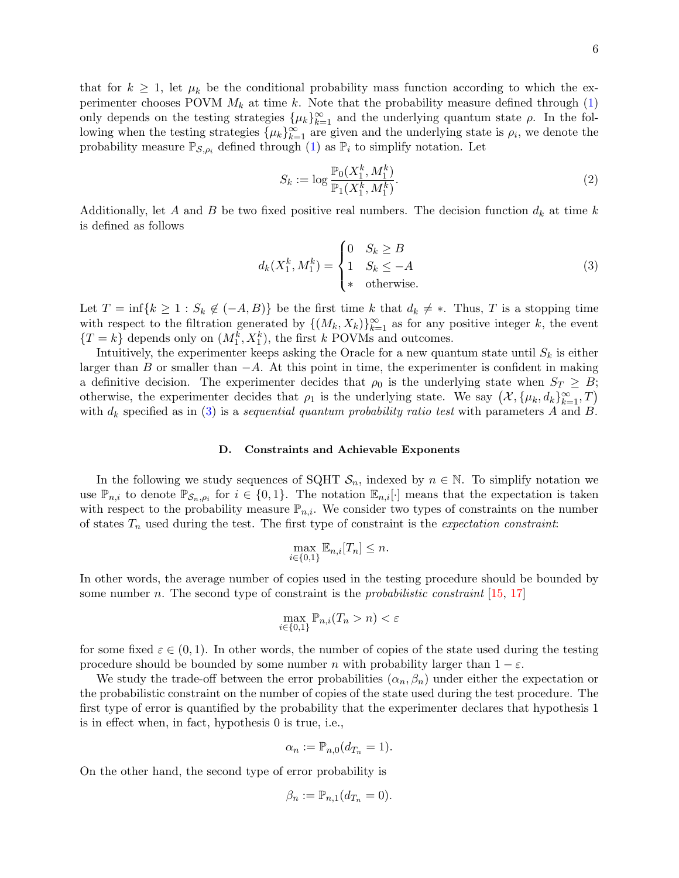that for  $k \geq 1$ , let  $\mu_k$  be the conditional probability mass function according to which the experimenter chooses POVM  $M_k$  at time k. Note that the probability measure defined through [\(1\)](#page-4-0) only depends on the testing strategies  $\{\mu_k\}_{k=1}^{\infty}$  and the underlying quantum state  $\rho$ . In the following when the testing strategies  $\{\mu_k\}_{k=1}^{\infty}$  are given and the underlying state is  $\rho_i$ , we denote the probability measure  $\mathbb{P}_{\mathcal{S},\rho_i}$  defined through [\(1\)](#page-4-0) as  $\mathbb{P}_i$  to simplify notation. Let

<span id="page-5-1"></span><span id="page-5-0"></span>
$$
S_k := \log \frac{\mathbb{P}_0(X_1^k, M_1^k)}{\mathbb{P}_1(X_1^k, M_1^k)}.
$$
\n(2)

Additionally, let A and B be two fixed positive real numbers. The decision function  $d_k$  at time k is defined as follows

$$
d_k(X_1^k, M_1^k) = \begin{cases} 0 & S_k \ge B \\ 1 & S_k \le -A \\ * & \text{otherwise.} \end{cases} \tag{3}
$$

Let  $T = \inf\{k \geq 1 : S_k \notin (-A, B)\}\$ be the first time k that  $d_k \neq *$ . Thus, T is a stopping time with respect to the filtration generated by  $\{(M_k, X_k)\}_{k=1}^{\infty}$  as for any positive integer k, the event  ${T = k}$  depends only on  $(M_1^k, X_1^k)$ , the first k POVMs and outcomes.

Intuitively, the experimenter keeps asking the Oracle for a new quantum state until  $S_k$  is either larger than B or smaller than  $-A$ . At this point in time, the experimenter is confident in making a definitive decision. The experimenter decides that  $\rho_0$  is the underlying state when  $S_T \geq B$ ; otherwise, the experimenter decides that  $\rho_1$  is the underlying state. We say  $(\mathcal{X}, {\mu_k, d_k}_{k=1}^{\infty}, T)$ with  $d_k$  specified as in [\(3\)](#page-5-0) is a sequential quantum probability ratio test with parameters A and B.

### D. Constraints and Achievable Exponents

In the following we study sequences of SQHT  $S_n$ , indexed by  $n \in \mathbb{N}$ . To simplify notation we use  $\mathbb{P}_{n,i}$  to denote  $\mathbb{P}_{\mathcal{S}_n,\rho_i}$  for  $i \in \{0,1\}$ . The notation  $\mathbb{E}_{n,i}[\cdot]$  means that the expectation is taken with respect to the probability measure  $\mathbb{P}_{n,i}$ . We consider two types of constraints on the number of states  $T_n$  used during the test. The first type of constraint is the *expectation constraint*:

$$
\max_{i \in \{0,1\}} \mathbb{E}_{n,i}[T_n] \le n.
$$

In other words, the average number of copies used in the testing procedure should be bounded by some number n. The second type of constraint is the *probabilistic constraint* [\[15,](#page-32-16) [17\]](#page-32-17)

$$
\max_{i \in \{0,1\}} \mathbb{P}_{n,i}(T_n > n) < \varepsilon
$$

for some fixed  $\varepsilon \in (0,1)$ . In other words, the number of copies of the state used during the testing procedure should be bounded by some number n with probability larger than  $1 - \varepsilon$ .

We study the trade-off between the error probabilities  $(\alpha_n, \beta_n)$  under either the expectation or the probabilistic constraint on the number of copies of the state used during the test procedure. The first type of error is quantified by the probability that the experimenter declares that hypothesis 1 is in effect when, in fact, hypothesis 0 is true, i.e.,

$$
\alpha_n := \mathbb{P}_{n,0}(d_{T_n} = 1).
$$

On the other hand, the second type of error probability is

$$
\beta_n := \mathbb{P}_{n,1}(d_{T_n} = 0).
$$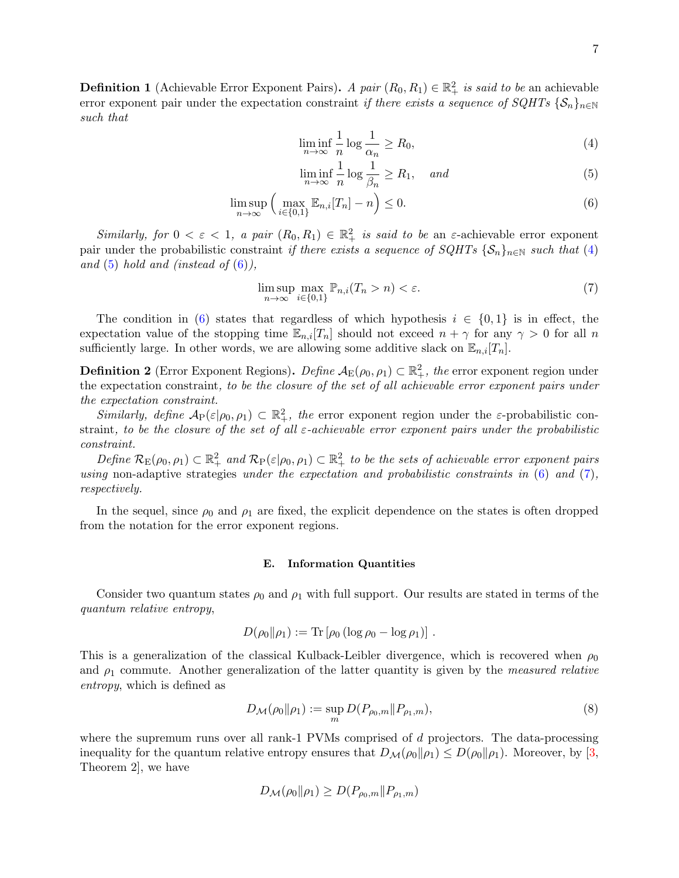<span id="page-6-5"></span>**Definition 1** (Achievable Error Exponent Pairs). A pair  $(R_0, R_1) \in \mathbb{R}^2_+$  is said to be an achievable error exponent pair under the expectation constraint if there exists a sequence of  $SQHTs$   $\{S_n\}_{n\in\mathbb{N}}$ such that

<span id="page-6-1"></span><span id="page-6-0"></span>
$$
\liminf_{n \to \infty} \frac{1}{n} \log \frac{1}{\alpha_n} \ge R_0,\tag{4}
$$

<span id="page-6-3"></span><span id="page-6-2"></span>
$$
\liminf_{n \to \infty} \frac{1}{n} \log \frac{1}{\beta_n} \ge R_1, \quad and \tag{5}
$$

$$
\limsup_{n \to \infty} \left( \max_{i \in \{0,1\}} \mathbb{E}_{n,i}[T_n] - n \right) \le 0. \tag{6}
$$

Similarly, for  $0 < \varepsilon < 1$ , a pair  $(R_0, R_1) \in \mathbb{R}^2_+$  is said to be an  $\varepsilon$ -achievable error exponent pair under the probabilistic constraint if there exists a sequence of  $SQHTs$  { $\mathcal{S}_n$ }<sub>n∈N</sub> such that [\(4\)](#page-6-0) and  $(5)$  hold and (instead of  $(6)$ ),

$$
\limsup_{n \to \infty} \max_{i \in \{0, 1\}} \mathbb{P}_{n,i}(T_n > n) < \varepsilon. \tag{7}
$$

The condition in [\(6\)](#page-6-2) states that regardless of which hypothesis  $i \in \{0,1\}$  is in effect, the expectation value of the stopping time  $\mathbb{E}_{n,i}[T_n]$  should not exceed  $n + \gamma$  for any  $\gamma > 0$  for all n sufficiently large. In other words, we are allowing some additive slack on  $\mathbb{E}_{n,i}[T_n]$ .

**Definition 2** (Error Exponent Regions).  $Define \mathcal{A}_{E}(\rho_0, \rho_1) \subset \mathbb{R}^2_+$ , the error exponent region under the expectation constraint, to be the closure of the set of all achievable error exponent pairs under the expectation constraint.

Similarly, define  $\mathcal{A}_{P}(\varepsilon|\rho_0,\rho_1) \subset \mathbb{R}^2_+$ , the error exponent region under the  $\varepsilon$ -probabilistic constraint, to be the closure of the set of all  $\varepsilon$ -achievable error exponent pairs under the probabilistic constraint.

Define  $\mathcal{R}_{E}(\rho_0, \rho_1) \subset \mathbb{R}^2_+$  and  $\mathcal{R}_{P}(\varepsilon|\rho_0, \rho_1) \subset \mathbb{R}^2_+$  to be the sets of achievable error exponent pairs using non-adaptive strategies under the expectation and probabilistic constraints in  $(6)$  and  $(7)$ , respectively.

In the sequel, since  $\rho_0$  and  $\rho_1$  are fixed, the explicit dependence on the states is often dropped from the notation for the error exponent regions.

### E. Information Quantities

Consider two quantum states  $\rho_0$  and  $\rho_1$  with full support. Our results are stated in terms of the quantum relative entropy,

$$
D(\rho_0\|\rho_1):=\mathrm{Tr}\left[\rho_0\left(\log\rho_0-\log\rho_1\right)\right].
$$

This is a generalization of the classical Kulback-Leibler divergence, which is recovered when  $\rho_0$ and  $\rho_1$  commute. Another generalization of the latter quantity is given by the *measured relative* entropy, which is defined as

<span id="page-6-4"></span>
$$
D_{\mathcal{M}}(\rho_0 \| \rho_1) := \sup_m D(P_{\rho_0, m} \| P_{\rho_1, m}), \tag{8}
$$

where the supremum runs over all rank-1 PVMs comprised of  $d$  projectors. The data-processing inequality for the quantum relative entropy ensures that  $D_{\mathcal{M}}(\rho_0||\rho_1) \leq D(\rho_0||\rho_1)$ . Moreover, by [\[3,](#page-31-10) Theorem 2], we have

$$
D_{\mathcal{M}}(\rho_0 \| \rho_1) \ge D(P_{\rho_0,m} \| P_{\rho_1,m})
$$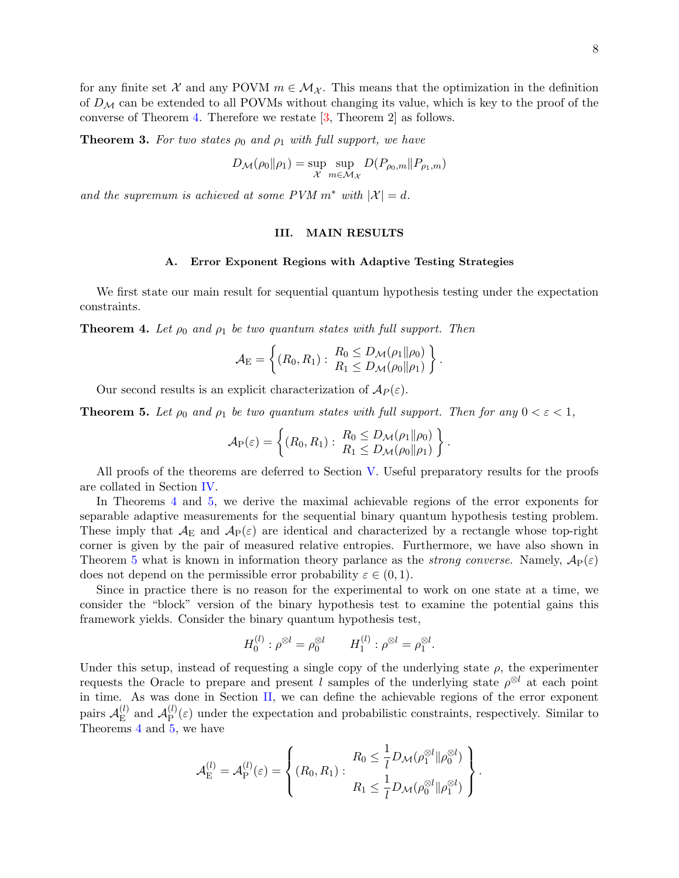<span id="page-7-4"></span>**Theorem 3.** For two states  $\rho_0$  and  $\rho_1$  with full support, we have

$$
D_{\mathcal{M}}(\rho_0 \|\rho_1) = \sup_{\mathcal{X}} \sup_{m \in \mathcal{M}_{\mathcal{X}}} D(P_{\rho_0,m} \| P_{\rho_1,m})
$$

and the supremum is achieved at some PVM  $m^*$  with  $|\mathcal{X}| = d$ .

### <span id="page-7-3"></span>III. MAIN RESULTS

### <span id="page-7-2"></span>A. Error Exponent Regions with Adaptive Testing Strategies

We first state our main result for sequential quantum hypothesis testing under the expectation constraints.

<span id="page-7-0"></span>**Theorem 4.** Let  $\rho_0$  and  $\rho_1$  be two quantum states with full support. Then

$$
\mathcal{A}_{\mathrm{E}} = \left\{ (R_0, R_1) : \begin{array}{l} R_0 \leq D_{\mathcal{M}}(\rho_1 \| \rho_0) \\ R_1 \leq D_{\mathcal{M}}(\rho_0 \| \rho_1) \end{array} \right\}.
$$

Our second results is an explicit characterization of  $\mathcal{A}_P(\varepsilon)$ .

<span id="page-7-1"></span>**Theorem 5.** Let  $\rho_0$  and  $\rho_1$  be two quantum states with full support. Then for any  $0 < \varepsilon < 1$ ,

$$
\mathcal{A}_{P}(\varepsilon) = \left\{ (R_0, R_1) : \begin{array}{l} R_0 \leq D_{\mathcal{M}}(\rho_1 \| \rho_0) \\ R_1 \leq D_{\mathcal{M}}(\rho_0 \| \rho_1) \end{array} \right\}.
$$

All proofs of the theorems are deferred to Section [V.](#page-13-0) Useful preparatory results for the proofs are collated in Section [IV.](#page-10-0)

In Theorems [4](#page-7-0) and [5,](#page-7-1) we derive the maximal achievable regions of the error exponents for separable adaptive measurements for the sequential binary quantum hypothesis testing problem. These imply that  $\mathcal{A}_F$  and  $\mathcal{A}_P(\varepsilon)$  are identical and characterized by a rectangle whose top-right corner is given by the pair of measured relative entropies. Furthermore, we have also shown in Theorem [5](#page-7-1) what is known in information theory parlance as the *strong converse*. Namely,  $\mathcal{A}_P(\varepsilon)$ does not depend on the permissible error probability  $\varepsilon \in (0,1)$ .

Since in practice there is no reason for the experimental to work on one state at a time, we consider the "block" version of the binary hypothesis test to examine the potential gains this framework yields. Consider the binary quantum hypothesis test,

$$
H_0^{(l)}: \rho^{\otimes l} = \rho_0^{\otimes l} \qquad H_1^{(l)}: \rho^{\otimes l} = \rho_1^{\otimes l}.
$$

Under this setup, instead of requesting a single copy of the underlying state  $\rho$ , the experimenter requests the Oracle to prepare and present l samples of the underlying state  $\rho^{\otimes l}$  at each point in time. As was done in Section [II,](#page-3-0) we can define the achievable regions of the error exponent pairs  $\mathcal{A}_{\mathrm{E}}^{(l)}$  $_{\mathrm{E}}^{(l)}$  and  $\mathcal{A}_{\mathrm{P}}^{(l)}$  $P_{\text{P}}^{(t)}(\varepsilon)$  under the expectation and probabilistic constraints, respectively. Similar to Theorems [4](#page-7-0) and [5,](#page-7-1) we have

$$
\mathcal{A}_{\mathrm{E}}^{(l)} = \mathcal{A}_{\mathrm{P}}^{(l)}(\varepsilon) = \left\{ (R_0, R_1) : \begin{aligned} R_0 &\leq \frac{1}{l} D_{\mathcal{M}}(\rho_1^{\otimes l} \| \rho_0^{\otimes l}) \\ R_1 &\leq \frac{1}{l} D_{\mathcal{M}}(\rho_0^{\otimes l} \| \rho_1^{\otimes l}) \end{aligned} \right\}.
$$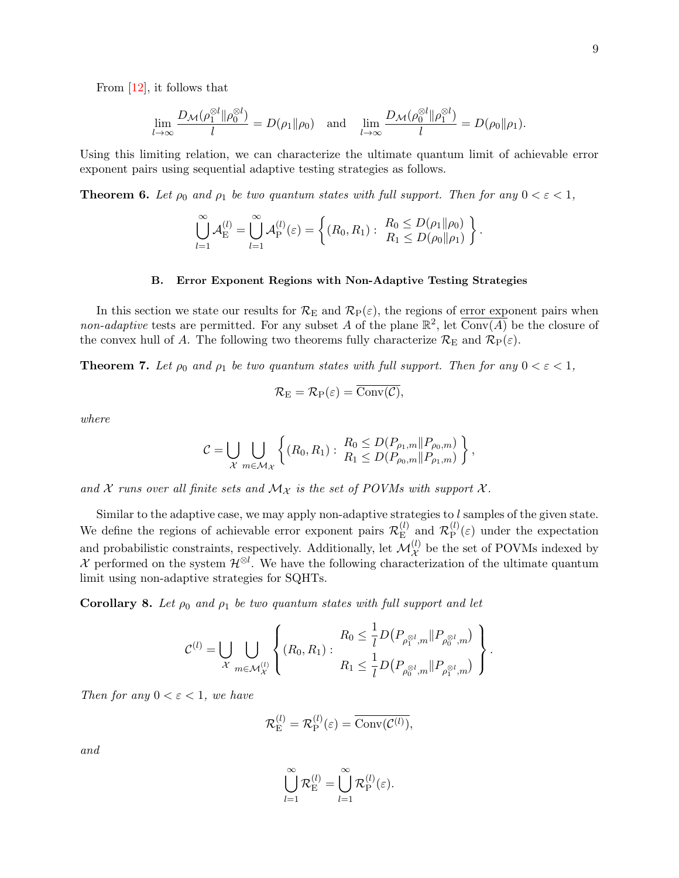From [\[12\]](#page-32-1), it follows that

$$
\lim_{l\to\infty}\frac{D_{\mathcal{M}}(\rho_1^{\otimes l}\|\rho_0^{\otimes l})}{l}=D(\rho_1\|\rho_0)\quad\text{and}\quad\lim_{l\to\infty}\frac{D_{\mathcal{M}}(\rho_0^{\otimes l}\|\rho_1^{\otimes l})}{l}=D(\rho_0\|\rho_1).
$$

Using this limiting relation, we can characterize the ultimate quantum limit of achievable error exponent pairs using sequential adaptive testing strategies as follows.

<span id="page-8-0"></span>**Theorem 6.** Let  $\rho_0$  and  $\rho_1$  be two quantum states with full support. Then for any  $0 < \varepsilon < 1$ ,

$$
\bigcup_{l=1}^{\infty} \mathcal{A}_{\mathrm{E}}^{(l)} = \bigcup_{l=1}^{\infty} \mathcal{A}_{\mathrm{P}}^{(l)}(\varepsilon) = \left\{ (R_0, R_1) : \begin{array}{l} R_0 \leq D(\rho_1 \| \rho_0) \\ R_1 \leq D(\rho_0 \| \rho_1) \end{array} \right\}.
$$

## <span id="page-8-2"></span>B. Error Exponent Regions with Non-Adaptive Testing Strategies

In this section we state our results for  $\mathcal{R}_E$  and  $\mathcal{R}_P(\varepsilon)$ , the regions of error exponent pairs when non-adaptive tests are permitted. For any subset A of the plane  $\mathbb{R}^2$ , let  $\overline{\text{Conv}(A)}$  be the closure of the convex hull of A. The following two theorems fully characterize  $\mathcal{R}_{\rm E}$  and  $\mathcal{R}_{\rm P}(\varepsilon)$ .

<span id="page-8-1"></span>**Theorem 7.** Let  $\rho_0$  and  $\rho_1$  be two quantum states with full support. Then for any  $0 < \varepsilon < 1$ ,

$$
\mathcal{R}_{\mathrm{E}}=\mathcal{R}_{\mathrm{P}}(\varepsilon)=\overline{\mathrm{Conv}(\mathcal{C})},
$$

where

$$
C = \bigcup_{\mathcal{X}} \bigcup_{m \in \mathcal{M}_{\mathcal{X}}} \left\{ (R_0, R_1) : \frac{R_0 \leq D(P_{\rho_1, m} \| P_{\rho_0, m})}{R_1 \leq D(P_{\rho_0, m} \| P_{\rho_1, m})} \right\},
$$

and X runs over all finite sets and  $\mathcal{M}_{\mathcal{X}}$  is the set of POVMs with support X.

Similar to the adaptive case, we may apply non-adaptive strategies to l samples of the given state. We define the regions of achievable error exponent pairs  $\mathcal{R}_{\rm E}^{(l)}$  $\mathcal{R}_{\mathrm{E}}^{(l)}$  and  $\mathcal{R}_{\mathrm{P}}^{(l)}$  $P_{\text{P}}^{(t)}(\varepsilon)$  under the expectation and probabilistic constraints, respectively. Additionally, let  $\mathcal{M}_{\mathcal{X}}^{(l)}$  be the set of POVMs indexed by X performed on the system  $\mathcal{H}^{\otimes l}$ . We have the following characterization of the ultimate quantum limit using non-adaptive strategies for SQHTs.

**Corollary 8.** Let  $\rho_0$  and  $\rho_1$  be two quantum states with full support and let

$$
\mathcal{C}^{(l)}=\bigcup_{\mathcal{X}}\bigcup_{m\in\mathcal{M}_\mathcal{X}^{(l)}}\left\{(R_0,R_1):\begin{matrix}R_0\leq \frac{1}{l}D\big(P_{\rho_1^{\otimes l},m}\|P_{\rho_0^{\otimes l},m}\big)\\ R_1\leq \frac{1}{l}D\big(P_{\rho_0^{\otimes l},m}\|P_{\rho_1^{\otimes l},m}\big)\end{matrix}\right\}.
$$

Then for any  $0 < \varepsilon < 1$ , we have

$$
\mathcal{R}_{\mathrm{E}}^{(l)} = \mathcal{R}_{\mathrm{P}}^{(l)}(\varepsilon) = \overline{\mathrm{Conv}(\mathcal{C}^{(l)})},
$$

and

$$
\bigcup_{l=1}^{\infty} \mathcal{R}_{\mathrm{E}}^{(l)} = \bigcup_{l=1}^{\infty} \mathcal{R}_{\mathrm{P}}^{(l)}(\varepsilon).
$$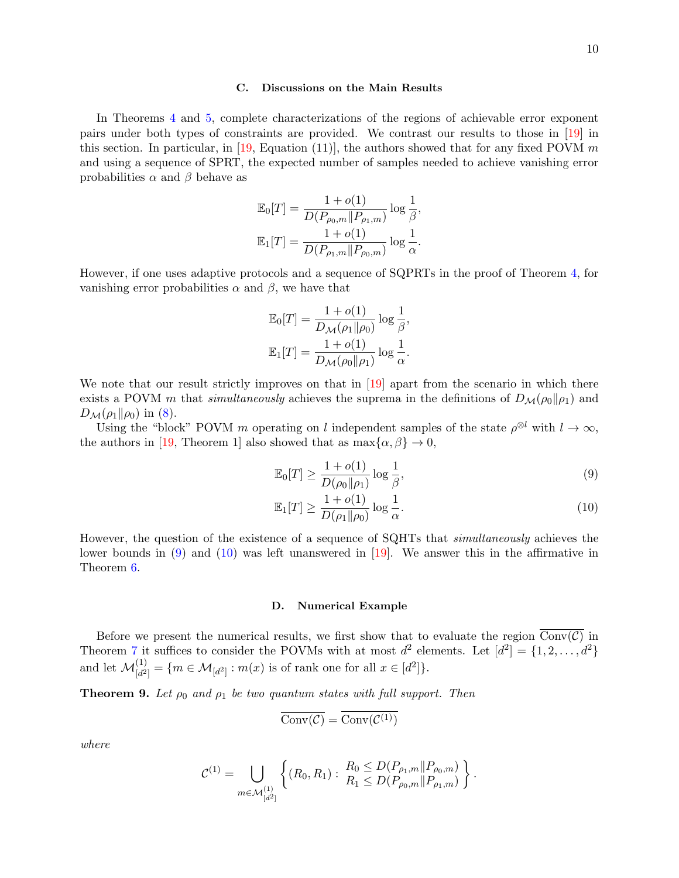### C. Discussions on the Main Results

In Theorems [4](#page-7-0) and [5,](#page-7-1) complete characterizations of the regions of achievable error exponent pairs under both types of constraints are provided. We contrast our results to those in [\[19\]](#page-32-8) in this section. In particular, in [\[19,](#page-32-8) Equation (11)], the authors showed that for any fixed POVM m and using a sequence of SPRT, the expected number of samples needed to achieve vanishing error probabilities  $\alpha$  and  $\beta$  behave as

$$
\mathbb{E}_0[T] = \frac{1 + o(1)}{D(P_{\rho_0,m}||P_{\rho_1,m})} \log \frac{1}{\beta},
$$
  

$$
\mathbb{E}_1[T] = \frac{1 + o(1)}{D(P_{\rho_1,m}||P_{\rho_0,m})} \log \frac{1}{\alpha}.
$$

However, if one uses adaptive protocols and a sequence of SQPRTs in the proof of Theorem [4,](#page-7-0) for vanishing error probabilities  $\alpha$  and  $\beta$ , we have that

$$
\mathbb{E}_0[T] = \frac{1 + o(1)}{D_{\mathcal{M}}(\rho_1 \| \rho_0)} \log \frac{1}{\beta},
$$
  

$$
\mathbb{E}_1[T] = \frac{1 + o(1)}{D_{\mathcal{M}}(\rho_0 \| \rho_1)} \log \frac{1}{\alpha}.
$$

We note that our result strictly improves on that in [\[19\]](#page-32-8) apart from the scenario in which there exists a POVM m that simultaneously achieves the suprema in the definitions of  $D_{\mathcal{M}}(\rho_0||\rho_1)$  and  $D_{\mathcal{M}}(\rho_1\|\rho_0)$  in [\(8\)](#page-6-4).

Using the "block" POVM m operating on l independent samples of the state  $\rho^{\otimes l}$  with  $l \to \infty$ , the authors in [\[19,](#page-32-8) Theorem 1] also showed that as  $\max{\alpha, \beta} \to 0$ ,

<span id="page-9-1"></span>
$$
\mathbb{E}_0[T] \ge \frac{1 + o(1)}{D(\rho_0 \|\rho_1)} \log \frac{1}{\beta},\tag{9}
$$

<span id="page-9-2"></span>
$$
\mathbb{E}_1[T] \ge \frac{1 + o(1)}{D(\rho_1 \|\rho_0)} \log \frac{1}{\alpha}.\tag{10}
$$

However, the question of the existence of a sequence of SQHTs that simultaneously achieves the lower bounds in [\(9\)](#page-9-1) and [\(10\)](#page-9-2) was left unanswered in [\[19\]](#page-32-8). We answer this in the affirmative in Theorem [6.](#page-8-0)

### <span id="page-9-0"></span>D. Numerical Example

Before we present the numerical results, we first show that to evaluate the region  $\overline{\text{Conv}(\mathcal{C})}$  in Theorem [7](#page-8-1) it suffices to consider the POVMs with at most  $d^2$  elements. Let  $[d^2] = \{1, 2, ..., d^2\}$ and let  $\mathcal{M}_{[d^2]}^{(1)} = \{ m \in \mathcal{M}_{[d^2]} : m(x) \text{ is of rank one for all } x \in [d^2] \}.$ 

<span id="page-9-3"></span>**Theorem 9.** Let  $\rho_0$  and  $\rho_1$  be two quantum states with full support. Then

$$
\overline{\mathrm{Conv}(\mathcal{C})} = \overline{\mathrm{Conv}(\mathcal{C}^{(1)})}
$$

where

$$
\mathcal{C}^{(1)} = \bigcup_{m \in \mathcal{M}_{[d^2]}^{(1)}} \left\{ (R_0, R_1) : \begin{array}{l} R_0 \leq D(P_{\rho_1,m} || P_{\rho_0,m}) \\ R_1 \leq D(P_{\rho_0,m} || P_{\rho_1,m}) \end{array} \right\}.
$$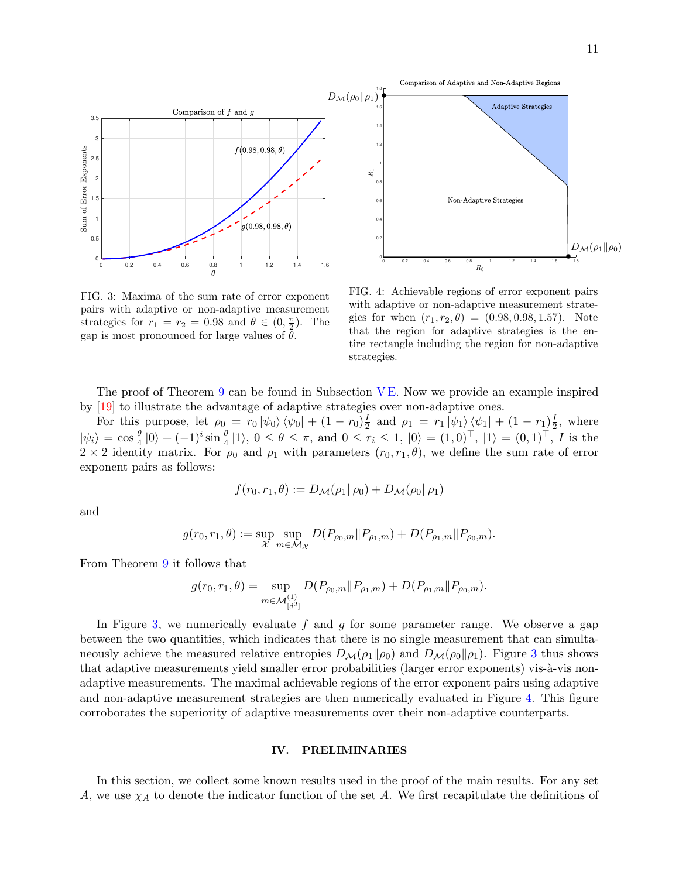



<span id="page-10-1"></span>FIG. 3: Maxima of the sum rate of error exponent pairs with adaptive or non-adaptive measurement strategies for  $r_1 = r_2 = 0.98$  and  $\theta \in (0, \frac{\pi}{2})$ . The gap is most pronounced for large values of  $\theta$ .

<span id="page-10-2"></span>FIG. 4: Achievable regions of error exponent pairs with adaptive or non-adaptive measurement strategies for when  $(r_1, r_2, \theta) = (0.98, 0.98, 1.57)$ . Note that the region for adaptive strategies is the entire rectangle including the region for non-adaptive strategies.

The proof of Theorem [9](#page-9-3) can be found in Subsection [V E.](#page-29-0) Now we provide an example inspired by [\[19\]](#page-32-8) to illustrate the advantage of adaptive strategies over non-adaptive ones.

For this purpose, let  $\rho_0 = r_0 |\psi_0\rangle \langle \psi_0| + (1 - r_0)^{\frac{1}{2}}$  $\frac{I}{2}$  and  $\rho_1 = r_1 |\psi_1\rangle \langle \psi_1| + (1 - r_1) \frac{I}{2}$  $\frac{1}{2}$ , where  $|\psi_i\rangle = \cos\frac{\theta}{4}|0\rangle + (-1)^i \sin\frac{\theta}{4}|1\rangle, 0 \le \theta \le \pi$ , and  $0 \le r_i \le 1, |0\rangle = (1,0)^{\top}, |1\rangle = (0,1)^{\top}, I$  is the  $2 \times 2$  identity matrix. For  $\rho_0$  and  $\rho_1$  with parameters  $(r_0, r_1, \theta)$ , we define the sum rate of error exponent pairs as follows:

$$
f(r_0,r_1,\theta) := D_{\mathcal{M}}(\rho_1 \|\rho_0) + D_{\mathcal{M}}(\rho_0 \|\rho_1)
$$

and

$$
g(r_0, r_1, \theta) := \sup_{\mathcal{X}} \sup_{m \in \mathcal{M}_{\mathcal{X}}} D(P_{\rho_0, m} || P_{\rho_1, m}) + D(P_{\rho_1, m} || P_{\rho_0, m}).
$$

From Theorem [9](#page-9-3) it follows that

$$
g(r_0, r_1, \theta) = \sup_{m \in \mathcal{M}_{[d^2]}^{(1)}} D(P_{\rho_0, m} || P_{\rho_1, m}) + D(P_{\rho_1, m} || P_{\rho_0, m}).
$$

In Figure [3,](#page-10-1) we numerically evaluate f and g for some parameter range. We observe a gap between the two quantities, which indicates that there is no single measurement that can simultaneously achieve the measured relative entropies  $D_{\mathcal{M}}(\rho_1||\rho_0)$  and  $D_{\mathcal{M}}(\rho_0||\rho_1)$ . Figure [3](#page-10-1) thus shows that adaptive measurements yield smaller error probabilities (larger error exponents) vis-à-vis nonadaptive measurements. The maximal achievable regions of the error exponent pairs using adaptive and non-adaptive measurement strategies are then numerically evaluated in Figure [4.](#page-10-2) This figure corroborates the superiority of adaptive measurements over their non-adaptive counterparts.

### <span id="page-10-0"></span>IV. PRELIMINARIES

In this section, we collect some known results used in the proof of the main results. For any set A, we use  $\chi_A$  to denote the indicator function of the set A. We first recapitulate the definitions of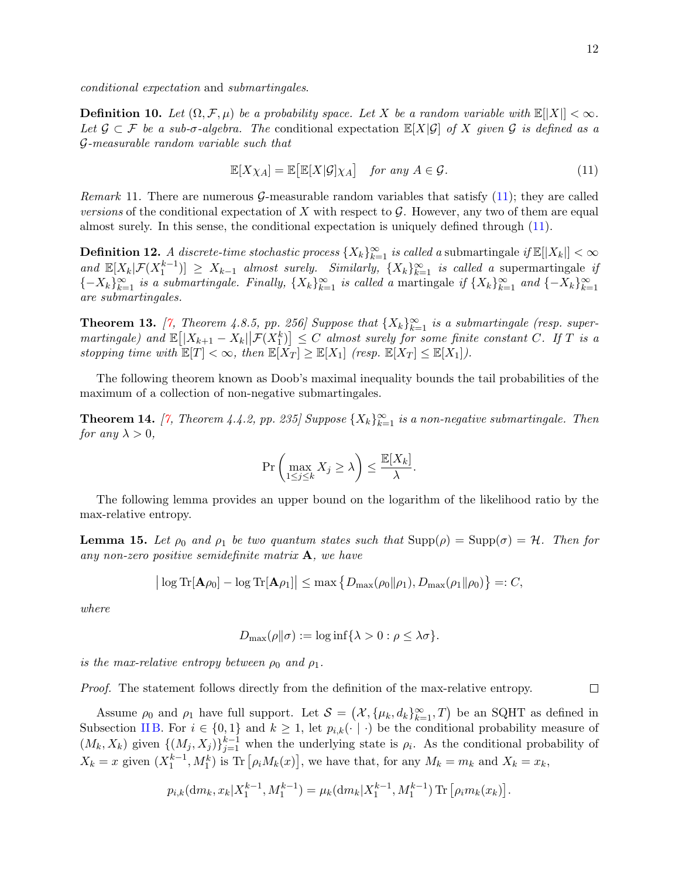$\Box$ 

conditional expectation and submartingales.

**Definition 10.** Let  $(\Omega, \mathcal{F}, \mu)$  be a probability space. Let X be a random variable with  $\mathbb{E}[|X|] < \infty$ . Let  $\mathcal{G} \subset \mathcal{F}$  be a sub- $\sigma$ -algebra. The conditional expectation  $\mathbb{E}[X|\mathcal{G}]$  of X given  $\mathcal{G}$  is defined as a G-measurable random variable such that

<span id="page-11-0"></span>
$$
\mathbb{E}[X\chi_A] = \mathbb{E}\big[\mathbb{E}[X|\mathcal{G}]\chi_A\big] \quad \text{for any } A \in \mathcal{G}.\tag{11}
$$

*Remark* 11. There are numerous G-measurable random variables that satisfy  $(11)$ ; they are called versions of the conditional expectation of X with respect to  $\mathcal G$ . However, any two of them are equal almost surely. In this sense, the conditional expectation is uniquely defined through [\(11\)](#page-11-0).

**Definition 12.** A discrete-time stochastic process  $\{X_k\}_{k=1}^{\infty}$  is called a submartingale if  $\mathbb{E}[|X_k|] < \infty$ and  $\mathbb{E}[X_k|\mathcal{F}(X_1^{k-1})] \geq X_{k-1}$  almost surely. Similarly,  $\{X_k\}_{k=1}^{\infty}$  is called a supermartingale if  ${-X_k}_{k=1}^{\infty}$  is a submartingale. Finally,  ${X_k}_{k=1}^{\infty}$  is called a martingale if  ${X_k}_{k=1}^{\infty}$  and  ${-X_k}_{k=1}^{\infty}$ are submartingales.

<span id="page-11-2"></span>**Theorem 13.** [\[7,](#page-31-9) Theorem 4.8.5, pp. 256] Suppose that  $\{X_k\}_{k=1}^{\infty}$  is a submartingale (resp. super- $\text{martingale)}$  and  $\mathbb{E}\left[\left|X_{k+1}-X_{k}\right|\right|\mathcal{F}(X_{1}^{k})\right] \leq C$  almost surely for some finite constant  $C$ . If  $T$  is a stopping time with  $\mathbb{E}[T] < \infty$ , then  $\mathbb{E}[X_T] \geq \mathbb{E}[X_1]$  (resp.  $\mathbb{E}[X_T] \leq \mathbb{E}[X_1]$ ).

The following theorem known as Doob's maximal inequality bounds the tail probabilities of the maximum of a collection of non-negative submartingales.

<span id="page-11-3"></span>**Theorem 14.** [\[7,](#page-31-9) Theorem 4.4.2, pp. 235] Suppose  $\{X_k\}_{k=1}^{\infty}$  is a non-negative submartingale. Then for any  $\lambda > 0$ ,

$$
\Pr\left(\max_{1\leq j\leq k} X_j \geq \lambda\right) \leq \frac{\mathbb{E}[X_k]}{\lambda}.
$$

The following lemma provides an upper bound on the logarithm of the likelihood ratio by the max-relative entropy.

<span id="page-11-1"></span>**Lemma 15.** Let  $\rho_0$  and  $\rho_1$  be two quantum states such that  $\text{Supp}(\rho) = \text{Supp}(\sigma) = \mathcal{H}$ . Then for any non-zero positive semidefinite matrix  $\mathbf{A}$ , we have

$$
|\log \mathrm{Tr}[\mathbf{A}\rho_0] - \log \mathrm{Tr}[\mathbf{A}\rho_1]| \leq \max \left\{ D_{\max}(\rho_0 || \rho_1), D_{\max}(\rho_1 || \rho_0) \right\} =: C,
$$

where

$$
D_{\max}(\rho||\sigma) := \log \inf \{ \lambda > 0 : \rho \le \lambda \sigma \}.
$$

is the max-relative entropy between  $\rho_0$  and  $\rho_1$ .

Proof. The statement follows directly from the definition of the max-relative entropy.

Assume  $\rho_0$  and  $\rho_1$  have full support. Let  $\mathcal{S} = (\mathcal{X}, \{\mu_k, d_k\}_{k=1}^{\infty}, T)$  be an SQHT as defined in Subsection [II B.](#page-3-1) For  $i \in \{0,1\}$  and  $k \geq 1$ , let  $p_{i,k}(\cdot | \cdot)$  be the conditional probability measure of  $(M_k, X_k)$  given  $\{(M_j, X_j)\}_{j=1}^{k-1}$  when the underlying state is  $\rho_i$ . As the conditional probability of  $X_k = x$  given  $(X_1^{k-1}, M_1^k)$  is Tr  $[\rho_i M_k(x)]$ , we have that, for any  $M_k = m_k$  and  $X_k = x_k$ ,

$$
p_{i,k}(\mathrm{d}m_k, x_k | X_1^{k-1}, M_1^{k-1}) = \mu_k(\mathrm{d}m_k | X_1^{k-1}, M_1^{k-1}) \mathrm{Tr} \left[ \rho_i m_k(x_k) \right].
$$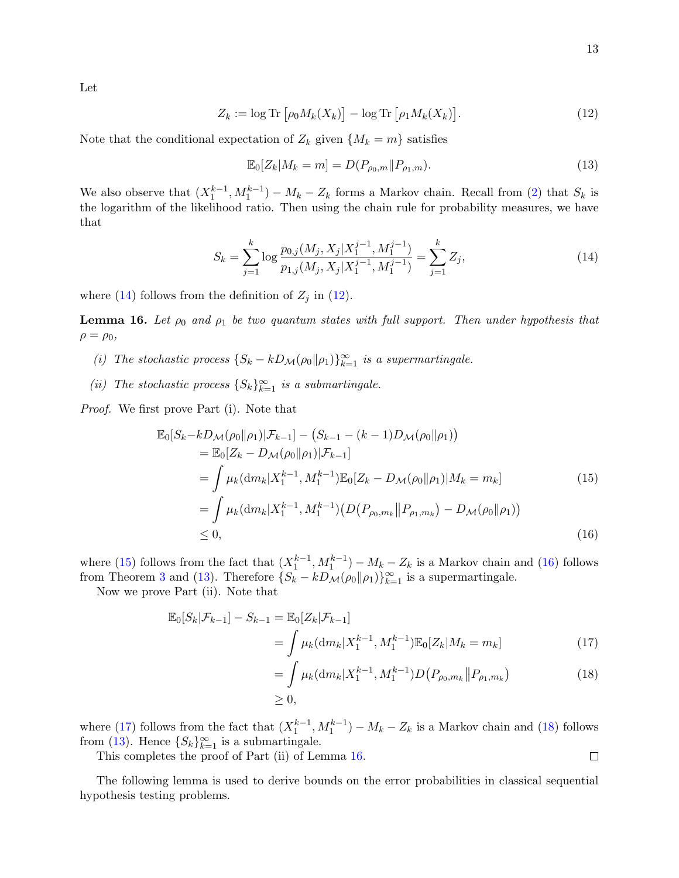$$
Z_k := \log \text{Tr} \left[ \rho_0 M_k(X_k) \right] - \log \text{Tr} \left[ \rho_1 M_k(X_k) \right]. \tag{12}
$$

Note that the conditional expectation of  $Z_k$  given  $\{M_k = m\}$  satisfies

<span id="page-12-4"></span><span id="page-12-1"></span><span id="page-12-0"></span>
$$
\mathbb{E}_0[Z_k|M_k=m] = D(P_{\rho_0,m}||P_{\rho_1,m}).
$$
\n(13)

We also observe that  $(X_1^{k-1}, M_1^{k-1}) - M_k - Z_k$  forms a Markov chain. Recall from [\(2\)](#page-5-1) that  $S_k$  is the logarithm of the likelihood ratio. Then using the chain rule for probability measures, we have that

$$
S_k = \sum_{j=1}^k \log \frac{p_{0,j}(M_j, X_j | X_1^{j-1}, M_1^{j-1})}{p_{1,j}(M_j, X_j | X_1^{j-1}, M_1^{j-1})} = \sum_{j=1}^k Z_j,
$$
\n(14)

where [\(14\)](#page-12-0) follows from the definition of  $Z_j$  in [\(12\)](#page-12-1).

<span id="page-12-7"></span>**Lemma 16.** Let  $\rho_0$  and  $\rho_1$  be two quantum states with full support. Then under hypothesis that  $\rho = \rho_0$ ,

- (i) The stochastic process  $\{S_k kD_{\mathcal{M}}(\rho_0||\rho_1)\}_{k=1}^{\infty}$  is a supermartingale.
- (ii) The stochastic process  $\{S_k\}_{k=1}^{\infty}$  is a submartingale.

Proof. We first prove Part (i). Note that

$$
\mathbb{E}_{0}[S_{k}-kD_{\mathcal{M}}(\rho_{0}\|\rho_{1})|\mathcal{F}_{k-1}] - (S_{k-1}-(k-1)D_{\mathcal{M}}(\rho_{0}\|\rho_{1}))
$$
\n
$$
= \mathbb{E}_{0}[Z_{k}-D_{\mathcal{M}}(\rho_{0}\|\rho_{1})|\mathcal{F}_{k-1}]
$$
\n
$$
= \int \mu_{k}(\mathrm{d}m_{k}|X_{1}^{k-1},M_{1}^{k-1})\mathbb{E}_{0}[Z_{k}-D_{\mathcal{M}}(\rho_{0}\|\rho_{1})|M_{k}=m_{k}]
$$
\n
$$
= \int \mu_{k}(\mathrm{d}m_{k}|X_{1}^{k-1},M_{1}^{k-1})(D(P_{\rho_{0},m_{k}}\|P_{\rho_{1},m_{k}})-D_{\mathcal{M}}(\rho_{0}\|\rho_{1}))
$$
\n
$$
\leq 0,
$$
\n(16)

where [\(15\)](#page-12-2) follows from the fact that  $(X_1^{k-1}, M_1^{k-1}) - M_k - Z_k$  is a Markov chain and [\(16\)](#page-12-3) follows from Theorem [3](#page-7-4) and [\(13\)](#page-12-4). Therefore  $\{S_k - kD_\mathcal{M}(\rho_0||\rho_1)\}_{k=1}^\infty$  is a supermartingale.

Now we prove Part (ii). Note that

$$
\mathbb{E}_0[S_k|\mathcal{F}_{k-1}] - S_{k-1} = \mathbb{E}_0[Z_k|\mathcal{F}_{k-1}]
$$
  
= 
$$
\int \mu_k(\mathrm{d}m_k|X_1^{k-1}, M_1^{k-1})\mathbb{E}_0[Z_k|M_k = m_k]
$$
 (17)

$$
= \int \mu_k(\mathrm{d}m_k|X_1^{k-1},M_1^{k-1})D(P_{\rho_0,m_k}||P_{\rho_1,m_k})
$$
\n
$$
\geq 0,
$$
\n(18)

where [\(17\)](#page-12-5) follows from the fact that  $(X_1^{k-1}, M_1^{k-1}) - M_k - Z_k$  is a Markov chain and [\(18\)](#page-12-6) follows from [\(13\)](#page-12-4). Hence  $\{S_k\}_{k=1}^{\infty}$  is a submartingale.

This completes the proof of Part (ii) of Lemma [16.](#page-12-7)

The following lemma is used to derive bounds on the error probabilities in classical sequential hypothesis testing problems.

<span id="page-12-6"></span><span id="page-12-5"></span><span id="page-12-3"></span><span id="page-12-2"></span> $\Box$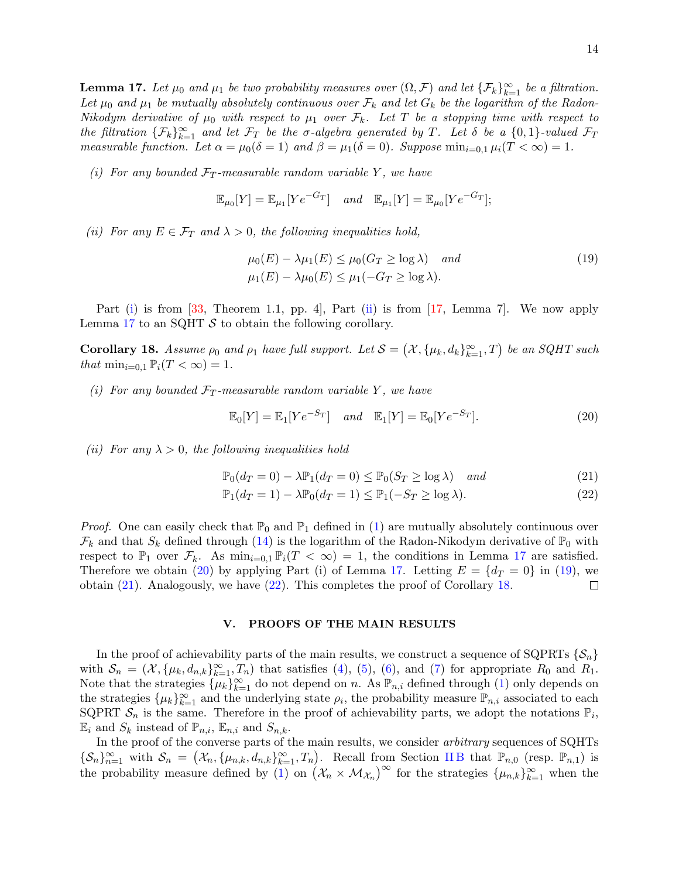<span id="page-13-3"></span>**Lemma 17.** Let  $\mu_0$  and  $\mu_1$  be two probability measures over  $(\Omega, \mathcal{F})$  and let  $\{\mathcal{F}_k\}_{k=1}^{\infty}$  be a filtration. Let  $\mu_0$  and  $\mu_1$  be mutually absolutely continuous over  $\mathcal{F}_k$  and let  $G_k$  be the logarithm of the Radon-Nikodym derivative of  $\mu_0$  with respect to  $\mu_1$  over  $\mathcal{F}_k$ . Let T be a stopping time with respect to the filtration  $\{\mathcal{F}_k\}_{k=1}^{\infty}$  and let  $\mathcal{F}_T$  be the  $\sigma$ -algebra generated by T. Let  $\delta$  be a  $\{0,1\}$ -valued  $\mathcal{F}_T$ measurable function. Let  $\alpha = \mu_0(\delta = 1)$  and  $\beta = \mu_1(\delta = 0)$ . Suppose  $\min_{i=0,1} \mu_i(T < \infty) = 1$ .

<span id="page-13-1"></span>(i) For any bounded  $\mathcal{F}_T$ -measurable random variable Y, we have

$$
\mathbb{E}_{\mu_0}[Y] = \mathbb{E}_{\mu_1}[Ye^{-G_T}] \quad and \quad \mathbb{E}_{\mu_1}[Y] = \mathbb{E}_{\mu_0}[Ye^{-G_T}];
$$

<span id="page-13-2"></span>(ii) For any  $E \in \mathcal{F}_T$  and  $\lambda > 0$ , the following inequalities hold,

<span id="page-13-5"></span>
$$
\mu_0(E) - \lambda \mu_1(E) \le \mu_0(G_T \ge \log \lambda) \quad and \n\mu_1(E) - \lambda \mu_0(E) \le \mu_1(-G_T \ge \log \lambda).
$$
\n(19)

Part [\(i\)](#page-13-1) is from [\[33,](#page-32-18) Theorem 1.1, pp. 4], Part [\(ii\)](#page-13-2) is from [\[17,](#page-32-17) Lemma 7]. We now apply Lemma [17](#page-13-3) to an SQHT  $S$  to obtain the following corollary.

<span id="page-13-8"></span>Corollary 18. Assume  $\rho_0$  and  $\rho_1$  have full support. Let  $\mathcal{S} = (\mathcal{X}, \{\mu_k, d_k\}_{k=1}^{\infty}, T)$  be an SQHT such that  $\min_{i=0,1} \mathbb{P}_i(T < \infty) = 1$ .

<span id="page-13-9"></span>(i) For any bounded  $\mathcal{F}_T$ -measurable random variable Y, we have

<span id="page-13-6"></span><span id="page-13-4"></span>
$$
\mathbb{E}_0[Y] = \mathbb{E}_1[Ye^{-S_T}] \quad and \quad \mathbb{E}_1[Y] = \mathbb{E}_0[Ye^{-S_T}]. \tag{20}
$$

<span id="page-13-10"></span>(ii) For any  $\lambda > 0$ , the following inequalities hold

$$
\mathbb{P}_0(d_T = 0) - \lambda \mathbb{P}_1(d_T = 0) \le \mathbb{P}_0(S_T \ge \log \lambda) \quad and \tag{21}
$$

<span id="page-13-7"></span>
$$
\mathbb{P}_1(d_T = 1) - \lambda \mathbb{P}_0(d_T = 1) \le \mathbb{P}_1(-S_T \ge \log \lambda). \tag{22}
$$

*Proof.* One can easily check that  $\mathbb{P}_0$  and  $\mathbb{P}_1$  defined in [\(1\)](#page-4-0) are mutually absolutely continuous over  $\mathcal{F}_k$  and that  $S_k$  defined through [\(14\)](#page-12-0) is the logarithm of the Radon-Nikodym derivative of  $\mathbb{P}_0$  with respect to  $\mathbb{P}_1$  over  $\mathcal{F}_k$ . As  $\min_{i=0,1} \mathbb{P}_i(T < \infty) = 1$ , the conditions in Lemma [17](#page-13-3) are satisfied. Therefore we obtain [\(20\)](#page-13-4) by applying Part (i) of Lemma [17.](#page-13-3) Letting  $E = \{d_T = 0\}$  in [\(19\)](#page-13-5), we obtain [\(21\)](#page-13-6). Analogously, we have [\(22\)](#page-13-7). This completes the proof of Corollary [18.](#page-13-8)  $\Box$ 

### <span id="page-13-0"></span>V. PROOFS OF THE MAIN RESULTS

In the proof of achievability parts of the main results, we construct a sequence of SQPRTs  $\{\mathcal{S}_n\}$ with  $S_n = (\mathcal{X}, {\mu_k, d_{n,k}}_{k=1}^{\infty}, T_n)$  that satisfies [\(4\)](#page-6-0), [\(5\)](#page-6-1), [\(6\)](#page-6-2), and [\(7\)](#page-6-3) for appropriate  $R_0$  and  $R_1$ . Note that the strategies  $\{\mu_k\}_{k=1}^{\infty}$  do not depend on n. As  $\mathbb{P}_{n,i}$  defined through [\(1\)](#page-4-0) only depends on the strategies  $\{\mu_k\}_{k=1}^{\infty}$  and the underlying state  $\rho_i$ , the probability measure  $\mathbb{P}_{n,i}$  associated to each SQPRT  $S_n$  is the same. Therefore in the proof of achievability parts, we adopt the notations  $\mathbb{P}_i$ ,  $\mathbb{E}_i$  and  $S_k$  instead of  $\mathbb{P}_{n,i}$ ,  $\mathbb{E}_{n,i}$  and  $S_{n,k}$ .

In the proof of the converse parts of the main results, we consider arbitrary sequences of SQHTs  $\{\mathcal{S}_n\}_{n=1}^{\infty}$  with  $\mathcal{S}_n = (\mathcal{X}_n, {\mu_{n,k}, d_{n,k}}_{k=1}^{\infty}, T_n)$ . Recall from Section IIB that  $\mathbb{P}_{n,0}$  (resp.  $\mathbb{P}_{n,1}$ ) is the probability measure defined by [\(1\)](#page-4-0) on  $(\mathcal{X}_n \times \mathcal{M}_{\mathcal{X}_n})^{\infty}$  for the strategies  $\{\mu_{n,k}\}_{k=1}^{\infty}$  when the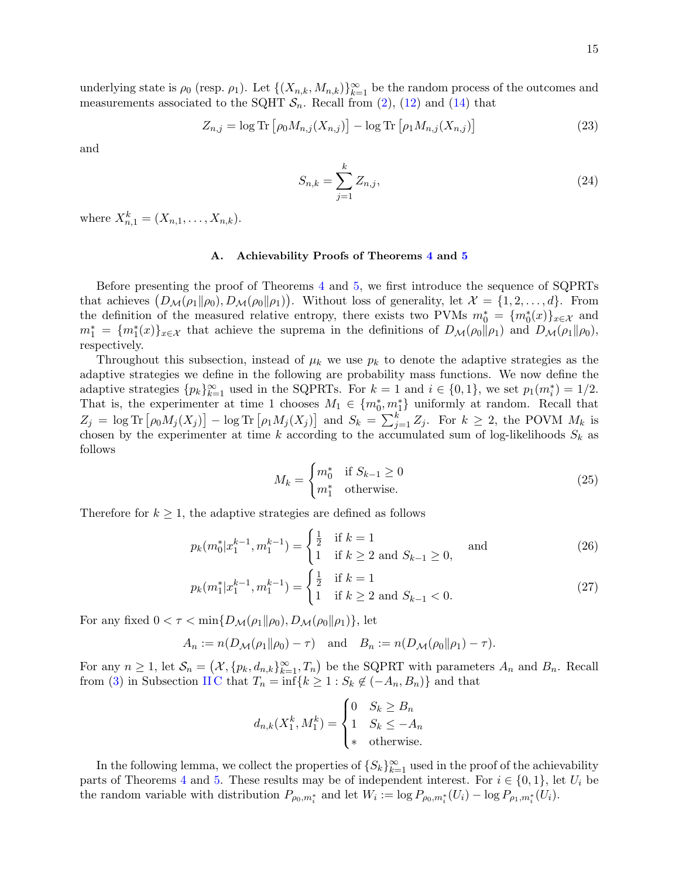underlying state is  $\rho_0$  (resp.  $\rho_1$ ). Let  $\{(X_{n,k}, M_{n,k})\}_{k=1}^{\infty}$  be the random process of the outcomes and measurements associated to the SQHT  $S_n$ . Recall from [\(2\)](#page-5-1), [\(12\)](#page-12-1) and [\(14\)](#page-12-0) that

$$
Z_{n,j} = \log \text{Tr} \left[ \rho_0 M_{n,j}(X_{n,j}) \right] - \log \text{Tr} \left[ \rho_1 M_{n,j}(X_{n,j}) \right] \tag{23}
$$

and

<span id="page-14-4"></span><span id="page-14-3"></span>
$$
S_{n,k} = \sum_{j=1}^{k} Z_{n,j},
$$
\n(24)

where  $X_{n,1}^k = (X_{n,1}, \ldots, X_{n,k}).$ 

### A. Achievability Proofs of Theorems [4](#page-7-0) and [5](#page-7-1)

Before presenting the proof of Theorems [4](#page-7-0) and [5,](#page-7-1) we first introduce the sequence of SQPRTs that achieves  $(D_{\mathcal{M}}(\rho_1 \| \rho_0), D_{\mathcal{M}}(\rho_0 \| \rho_1))$ . Without loss of generality, let  $\mathcal{X} = \{1, 2, ..., d\}$ . From the definition of the measured relative entropy, there exists two PVMs  $m_0^* = \{m_0^*(x)\}_{x \in \mathcal{X}}$  and  $m_1^* = \{m_1^*(x)\}_{x \in \mathcal{X}}$  that achieve the suprema in the definitions of  $D_{\mathcal{M}}(\rho_0||\rho_1)$  and  $D_{\mathcal{M}}(\rho_1||\rho_0)$ , respectively.

Throughout this subsection, instead of  $\mu_k$  we use  $p_k$  to denote the adaptive strategies as the adaptive strategies we define in the following are probability mass functions. We now define the adaptive strategies  $\{p_k\}_{k=1}^{\infty}$  used in the SQPRTs. For  $k=1$  and  $i \in \{0,1\}$ , we set  $p_1(m_i^*)=1/2$ . That is, the experimenter at time 1 chooses  $M_1 \in \{m_0^*, m_1^*\}$  uniformly at random. Recall that  $Z_j = \log \text{Tr} \left[ \rho_0 M_j(X_j) \right] - \log \text{Tr} \left[ \rho_1 M_j(X_j) \right]$  and  $S_k = \sum_{j=1}^k Z_j$ . For  $k \geq 2$ , the POVM  $M_k$  is chosen by the experimenter at time k according to the accumulated sum of log-likelihoods  $S_k$  as follows

<span id="page-14-2"></span><span id="page-14-1"></span><span id="page-14-0"></span>
$$
M_k = \begin{cases} m_0^* & \text{if } S_{k-1} \ge 0 \\ m_1^* & \text{otherwise.} \end{cases}
$$
 (25)

Therefore for  $k \geq 1$ , the adaptive strategies are defined as follows

$$
p_k(m_0^* | x_1^{k-1}, m_1^{k-1}) = \begin{cases} \frac{1}{2} & \text{if } k = 1\\ 1 & \text{if } k \ge 2 \text{ and } S_{k-1} \ge 0, \end{cases} \text{ and } (26)
$$

$$
p_k(m_1^* | x_1^{k-1}, m_1^{k-1}) = \begin{cases} \frac{1}{2} & \text{if } k = 1\\ 1 & \text{if } k \ge 2 \text{ and } S_{k-1} < 0. \end{cases} \tag{27}
$$

For any fixed  $0 < \tau < \min\{D_{\mathcal{M}}(\rho_1||\rho_0), D_{\mathcal{M}}(\rho_0||\rho_1)\}\,$  let

$$
A_n := n(D_{\mathcal{M}}(\rho_1 \| \rho_0) - \tau)
$$
 and  $B_n := n(D_{\mathcal{M}}(\rho_0 \| \rho_1) - \tau)$ .

For any  $n \geq 1$ , let  $\mathcal{S}_n = (\mathcal{X}, \{p_k, d_{n,k}\}_{k=1}^{\infty}, T_n)$  be the SQPRT with parameters  $A_n$  and  $B_n$ . Recall from [\(3\)](#page-5-0) in Subsection IIC that  $T_n = \inf\{k \geq 1 : S_k \notin (-A_n, B_n)\}$  and that

$$
d_{n,k}(X_1^k, M_1^k) = \begin{cases} 0 & S_k \ge B_n \\ 1 & S_k \le -A_n \\ * & \text{otherwise.} \end{cases}
$$

In the following lemma, we collect the properties of  $\{S_k\}_{k=1}^{\infty}$  used in the proof of the achievability parts of Theorems [4](#page-7-0) and [5.](#page-7-1) These results may be of independent interest. For  $i \in \{0,1\}$ , let  $U_i$  be the random variable with distribution  $P_{\rho_0,m_i^*}$  and let  $W_i := \log P_{\rho_0,m_i^*}(U_i) - \log P_{\rho_1,m_i^*}(U_i)$ .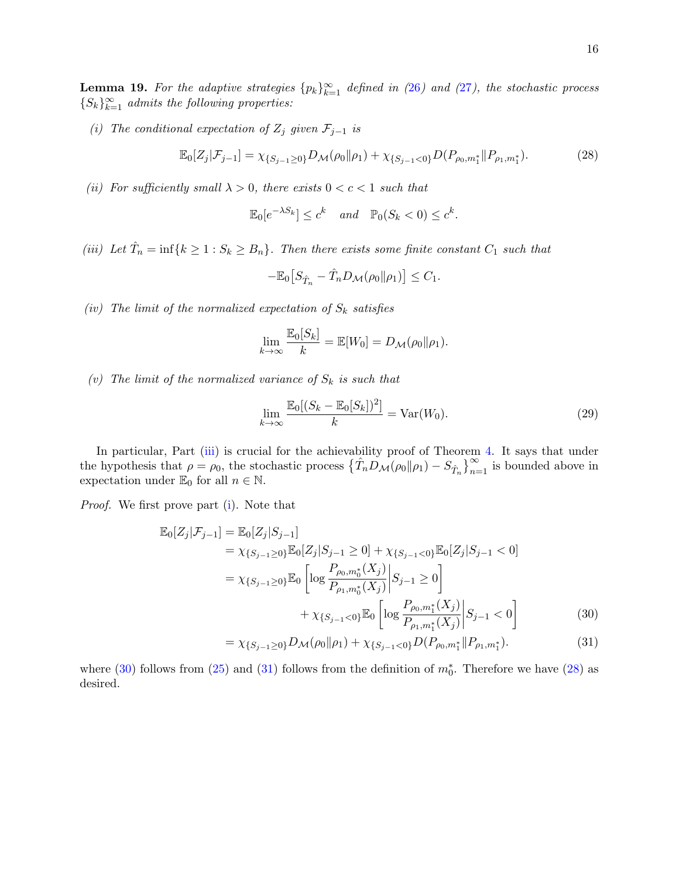<span id="page-15-6"></span>**Lemma 19.** For the adaptive strategies  $\{p_k\}_{k=1}^{\infty}$  defined in ([26](#page-14-0)) and ([27](#page-14-1)), the stochastic process  ${S_k}_{k=1}^{\infty}$  admits the following properties:

<span id="page-15-1"></span>(i) The conditional expectation of  $Z_j$  given  $\mathcal{F}_{j-1}$  is

$$
\mathbb{E}_0[Z_j|\mathcal{F}_{j-1}] = \chi_{\{S_{j-1}\geq 0\}} D_{\mathcal{M}}(\rho_0 \|\rho_1) + \chi_{\{S_{j-1}< 0\}} D(P_{\rho_0, m_1^*} \| P_{\rho_1, m_1^*}).
$$
\n(28)

<span id="page-15-5"></span>(ii) For sufficiently small  $\lambda > 0$ , there exists  $0 < c < 1$  such that

<span id="page-15-4"></span>
$$
\mathbb{E}_0[e^{-\lambda S_k}] \le c^k \quad and \quad \mathbb{P}_0(S_k < 0) \le c^k.
$$

<span id="page-15-0"></span>(iii) Let  $\hat{T}_n = \inf\{k \geq 1 : S_k \geq B_n\}$ . Then there exists some finite constant  $C_1$  such that

$$
-\mathbb{E}_0\big[S_{\hat{T}_n} - \hat{T}_n D_{\mathcal{M}}(\rho_0 \| \rho_1)\big] \leq C_1.
$$

<span id="page-15-7"></span>(iv) The limit of the normalized expectation of  $S_k$  satisfies

$$
\lim_{k \to \infty} \frac{\mathbb{E}_0[S_k]}{k} = \mathbb{E}[W_0] = D_{\mathcal{M}}(\rho_0 || \rho_1).
$$

<span id="page-15-8"></span>(v) The limit of the normalized variance of  $S_k$  is such that

<span id="page-15-9"></span>
$$
\lim_{k \to \infty} \frac{\mathbb{E}_0[(S_k - \mathbb{E}_0[S_k])^2]}{k} = \text{Var}(W_0). \tag{29}
$$

In particular, Part [\(iii\)](#page-15-0) is crucial for the achievability proof of Theorem [4.](#page-7-0) It says that under the hypothesis that  $\rho = \rho_0$ , the stochastic process  $\{\hat{T}_n \hat{D}_M(\rho_0 || \rho_1) - S_{\hat{T}_n}\}_{n=1}^{\infty}$  is bounded above in expectation under  $\mathbb{E}_0$  for all  $n \in \mathbb{N}$ .

Proof. We first prove part [\(i\)](#page-15-1). Note that

$$
\mathbb{E}_{0}[Z_{j}|\mathcal{F}_{j-1}] = \mathbb{E}_{0}[Z_{j}|S_{j-1}]
$$
\n
$$
= \chi_{\{S_{j-1}\geq 0\}} \mathbb{E}_{0}[Z_{j}|S_{j-1} \geq 0] + \chi_{\{S_{j-1} < 0\}} \mathbb{E}_{0}[Z_{j}|S_{j-1} < 0]
$$
\n
$$
= \chi_{\{S_{j-1}\geq 0\}} \mathbb{E}_{0}\left[\log \frac{P_{\rho_{0},m_{0}^{*}}(X_{j})}{P_{\rho_{1},m_{0}^{*}}(X_{j})}\middle|S_{j-1} \geq 0\right]
$$
\n
$$
+ \chi_{\{S_{j-1} < 0\}} \mathbb{E}_{0}\left[\log \frac{P_{\rho_{0},m_{1}^{*}}(X_{j})}{P_{\rho_{1},m_{1}^{*}}(X_{j})}\middle|S_{j-1} < 0\right]
$$
\n(30)

<span id="page-15-3"></span><span id="page-15-2"></span>
$$
= \chi_{\{S_{j-1}\geq 0\}} D_{\mathcal{M}}(\rho_0 \| \rho_1) + \chi_{\{S_{j-1}<0\}} D(P_{\rho_0, m_1^*} \| P_{\rho_1, m_1^*}). \tag{31}
$$

where  $(30)$  follows from  $(25)$  and  $(31)$  follows from the definition of  $m_0^*$ . Therefore we have  $(28)$  as desired.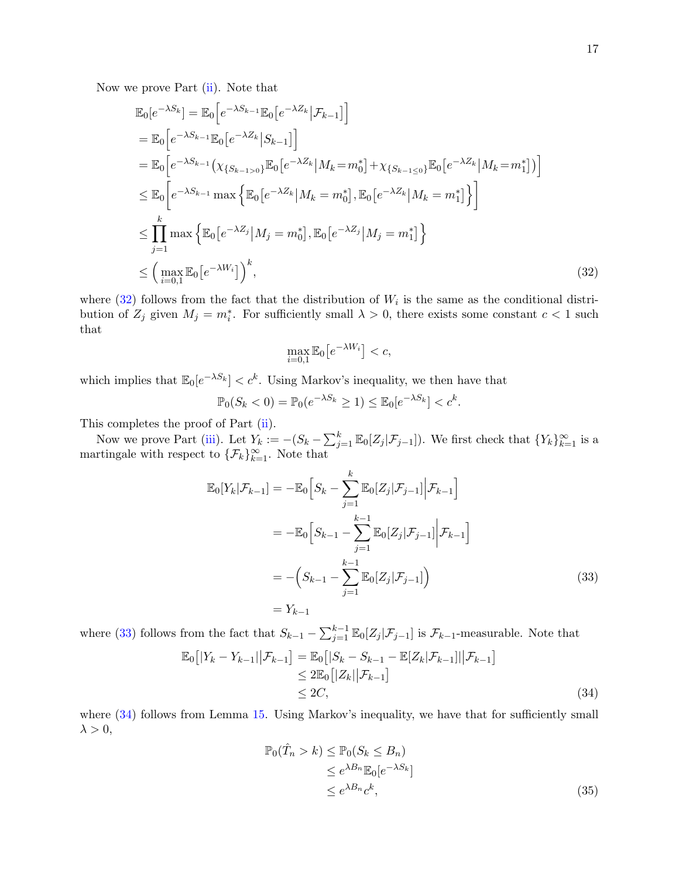Now we prove Part [\(ii\)](#page-15-5). Note that

$$
\mathbb{E}_{0}[e^{-\lambda S_{k}}] = \mathbb{E}_{0}[e^{-\lambda S_{k-1}}\mathbb{E}_{0}[e^{-\lambda Z_{k}}|\mathcal{F}_{k-1}]] \n= \mathbb{E}_{0}[e^{-\lambda S_{k-1}}\mathbb{E}_{0}[e^{-\lambda Z_{k}}|S_{k-1}]] \n= \mathbb{E}_{0}[e^{-\lambda S_{k-1}}(\chi_{\{S_{k-1>0}\}}\mathbb{E}_{0}[e^{-\lambda Z_{k}}|M_{k}=m_{0}^{*}] + \chi_{\{S_{k-1\leq 0}\}}\mathbb{E}_{0}[e^{-\lambda Z_{k}}|M_{k}=m_{1}^{*}])]
$$
\n
$$
\leq \mathbb{E}_{0}[e^{-\lambda S_{k-1}}\max\left\{\mathbb{E}_{0}[e^{-\lambda Z_{k}}|M_{k}=m_{0}^{*}], \mathbb{E}_{0}[e^{-\lambda Z_{k}}|M_{k}=m_{1}^{*}]\right\}] \n\leq \prod_{j=1}^{k} \max\left\{\mathbb{E}_{0}[e^{-\lambda Z_{j}}|M_{j}=m_{0}^{*}], \mathbb{E}_{0}[e^{-\lambda Z_{j}}|M_{j}=m_{1}^{*}]\right\} \n\leq (\max_{i=0,1} \mathbb{E}_{0}[e^{-\lambda W_{i}}])^{k}, \tag{32}
$$

where  $(32)$  follows from the fact that the distribution of  $W_i$  is the same as the conditional distribution of  $Z_j$  given  $M_j = m_i^*$ . For sufficiently small  $\lambda > 0$ , there exists some constant  $c < 1$  such that

<span id="page-16-0"></span>
$$
\max_{i=0,1} \mathbb{E}_0\big[e^{-\lambda W_i}\big] < c,
$$

which implies that  $\mathbb{E}_0[e^{-\lambda S_k}] < c^k$ . Using Markov's inequality, we then have that

$$
\mathbb{P}_0(S_k < 0) = \mathbb{P}_0(e^{-\lambda S_k} \ge 1) \le \mathbb{E}_0[e^{-\lambda S_k}] < c^k.
$$

This completes the proof of Part [\(ii\)](#page-15-5).

Now we prove Part [\(iii\)](#page-15-0). Let  $Y_k := -(S_k - \sum_{j=1}^k \mathbb{E}_0[Z_j | \mathcal{F}_{j-1}])$ . We first check that  $\{Y_k\}_{k=1}^{\infty}$  is a martingale with respect to  $\{\mathcal{F}_k\}_{k=1}^{\infty}$ . Note that

$$
\mathbb{E}_{0}[Y_{k}|\mathcal{F}_{k-1}] = -\mathbb{E}_{0}\Big[S_{k} - \sum_{j=1}^{k} \mathbb{E}_{0}[Z_{j}|\mathcal{F}_{j-1}]\Big|\mathcal{F}_{k-1}\Big]
$$
  
\n
$$
= -\mathbb{E}_{0}\Big[S_{k-1} - \sum_{j=1}^{k-1} \mathbb{E}_{0}[Z_{j}|\mathcal{F}_{j-1}]\Big|\mathcal{F}_{k-1}\Big]
$$
  
\n
$$
= -\Big(S_{k-1} - \sum_{j=1}^{k-1} \mathbb{E}_{0}[Z_{j}|\mathcal{F}_{j-1}]\Big)
$$
  
\n
$$
= Y_{k-1} \tag{33}
$$

where [\(33\)](#page-16-1) follows from the fact that  $S_{k-1} - \sum_{j=1}^{k-1} \mathbb{E}_0[Z_j | \mathcal{F}_{j-1}]$  is  $\mathcal{F}_{k-1}$ -measurable. Note that

$$
\mathbb{E}_0\big[|Y_k - Y_{k-1}|\big|\mathcal{F}_{k-1}\big] = \mathbb{E}_0\big[|S_k - S_{k-1} - \mathbb{E}[Z_k|\mathcal{F}_{k-1}]|\big|\mathcal{F}_{k-1}\big] \n\le 2\mathbb{E}_0\big[|Z_k|\big|\mathcal{F}_{k-1}\big] \n\le 2C,
$$
\n(34)

where  $(34)$  follows from Lemma [15.](#page-11-1) Using Markov's inequality, we have that for sufficiently small  $\lambda > 0$ ,

<span id="page-16-3"></span><span id="page-16-2"></span><span id="page-16-1"></span>
$$
\mathbb{P}_0(\hat{T}_n > k) \le \mathbb{P}_0(S_k \le B_n)
$$
  
\n
$$
\le e^{\lambda B_n} \mathbb{E}_0[e^{-\lambda S_k}]
$$
  
\n
$$
\le e^{\lambda B_n} c^k,
$$
\n(35)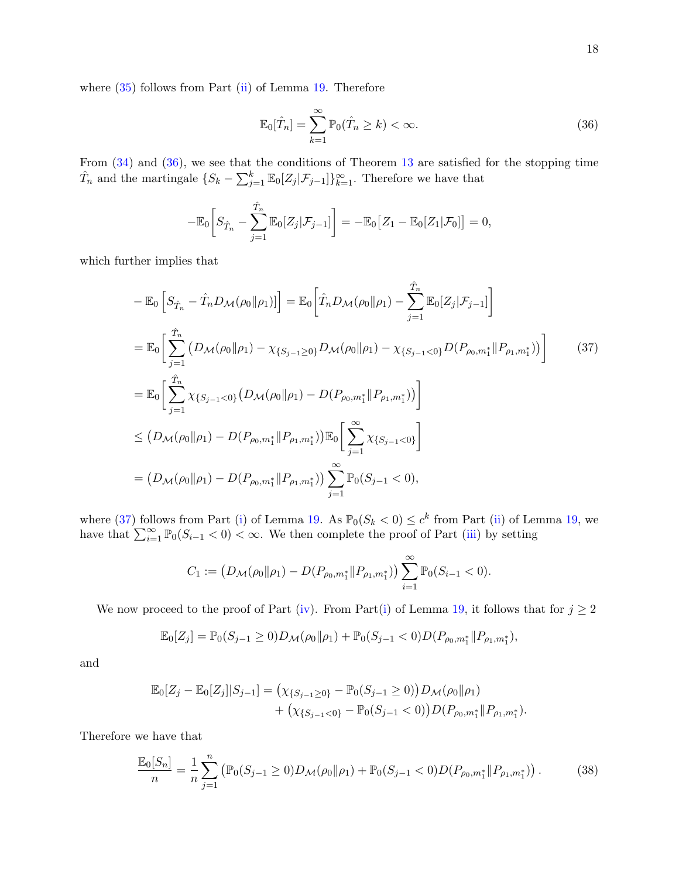where  $(35)$  follows from Part  $(ii)$  of Lemma [19.](#page-15-6) Therefore

<span id="page-17-1"></span><span id="page-17-0"></span>
$$
\mathbb{E}_0[\hat{T}_n] = \sum_{k=1}^{\infty} \mathbb{P}_0(\hat{T}_n \ge k) < \infty. \tag{36}
$$

From [\(34\)](#page-16-2) and [\(36\)](#page-17-0), we see that the conditions of Theorem [13](#page-11-2) are satisfied for the stopping time  $\hat{T}_n$  and the martingale  $\{S_k - \sum_{j=1}^k \mathbb{E}_0[Z_j | \mathcal{F}_{j-1}]\}_{k=1}^{\infty}$ . Therefore we have that

$$
-\mathbb{E}_0\bigg[S_{\hat{T}_n} - \sum_{j=1}^{\hat{T}_n} \mathbb{E}_0[Z_j | \mathcal{F}_{j-1}]\bigg] = -\mathbb{E}_0\big[Z_1 - \mathbb{E}_0[Z_1 | \mathcal{F}_0]\big] = 0,
$$

which further implies that

$$
-\mathbb{E}_{0}\left[S_{\hat{T}_{n}} - \hat{T}_{n}D_{\mathcal{M}}(\rho_{0}||\rho_{1})\right] = \mathbb{E}_{0}\left[\hat{T}_{n}D_{\mathcal{M}}(\rho_{0}||\rho_{1}) - \sum_{j=1}^{\hat{T}_{n}}\mathbb{E}_{0}[Z_{j}|\mathcal{F}_{j-1}]\right]
$$
  
\n
$$
=\mathbb{E}_{0}\left[\sum_{j=1}^{\hat{T}_{n}}\left(D_{\mathcal{M}}(\rho_{0}||\rho_{1}) - \chi_{\{S_{j-1}\geq 0\}}D_{\mathcal{M}}(\rho_{0}||\rho_{1}) - \chi_{\{S_{j-1}< 0\}}D(P_{\rho_{0},m_{1}^{*}}||P_{\rho_{1},m_{1}^{*}})\right)\right]
$$
(37)  
\n
$$
=\mathbb{E}_{0}\left[\sum_{j=1}^{\hat{T}_{n}}\chi_{\{S_{j-1}< 0\}}\left(D_{\mathcal{M}}(\rho_{0}||\rho_{1}) - D(P_{\rho_{0},m_{1}^{*}}||P_{\rho_{1},m_{1}^{*}})\right)\right]
$$
  
\n
$$
\leq \left(D_{\mathcal{M}}(\rho_{0}||\rho_{1}) - D(P_{\rho_{0},m_{1}^{*}}||P_{\rho_{1},m_{1}^{*}})\right)\mathbb{E}_{0}\left[\sum_{j=1}^{\infty}\chi_{\{S_{j-1}< 0\}}\right]
$$
  
\n
$$
=\left(D_{\mathcal{M}}(\rho_{0}||\rho_{1}) - D(P_{\rho_{0},m_{1}^{*}}||P_{\rho_{1},m_{1}^{*}})\right)\sum_{j=1}^{\infty}\mathbb{P}_{0}(S_{j-1}< 0),
$$

where [\(37\)](#page-17-1) follows from Part [\(i\)](#page-15-1) of Lemma [19.](#page-15-6) As  $\mathbb{P}_0(S_k < 0) \leq c^k$  from Part [\(ii\)](#page-15-5) of Lemma [19,](#page-15-6) we have that  $\sum_{i=1}^{\infty} \mathbb{P}_0(S_{i-1} < 0) < \infty$ . We then complete the proof of Part [\(iii\)](#page-15-0) by setting

$$
C_1 := \left(D_{\mathcal{M}}(\rho_0 \| \rho_1) - D(P_{\rho_0, m_1^*} \| P_{\rho_1, m_1^*})\right) \sum_{i=1}^{\infty} \mathbb{P}_0(S_{i-1} < 0).
$$

We now proceed to the proof of Part [\(iv\)](#page-15-7). From Part[\(i\)](#page-15-1) of Lemma [19,](#page-15-6) it follows that for  $j \geq 2$ 

<span id="page-17-2"></span>
$$
\mathbb{E}_0[Z_j] = \mathbb{P}_0(S_{j-1} \ge 0)D_{\mathcal{M}}(\rho_0 \|\rho_1) + \mathbb{P}_0(S_{j-1} < 0)D(P_{\rho_0, m_1^*} \| P_{\rho_1, m_1^*}),
$$

and

$$
\mathbb{E}_{0}[Z_{j} - \mathbb{E}_{0}[Z_{j}]|S_{j-1}] = (\chi_{\{S_{j-1}\geq 0\}} - \mathbb{P}_{0}(S_{j-1}\geq 0))D_{\mathcal{M}}(\rho_{0}||\rho_{1}) + (\chi_{\{S_{j-1}< 0\}} - \mathbb{P}_{0}(S_{j-1}< 0))D(P_{\rho_{0},m_{1}^{*}}||P_{\rho_{1},m_{1}^{*}}).
$$

Therefore we have that

$$
\frac{\mathbb{E}_0[S_n]}{n} = \frac{1}{n} \sum_{j=1}^n \left( \mathbb{P}_0(S_{j-1} \ge 0) D_{\mathcal{M}}(\rho_0 \| \rho_1) + \mathbb{P}_0(S_{j-1} < 0) D(P_{\rho_0, m_1^*} \| P_{\rho_1, m_1^*}) \right). \tag{38}
$$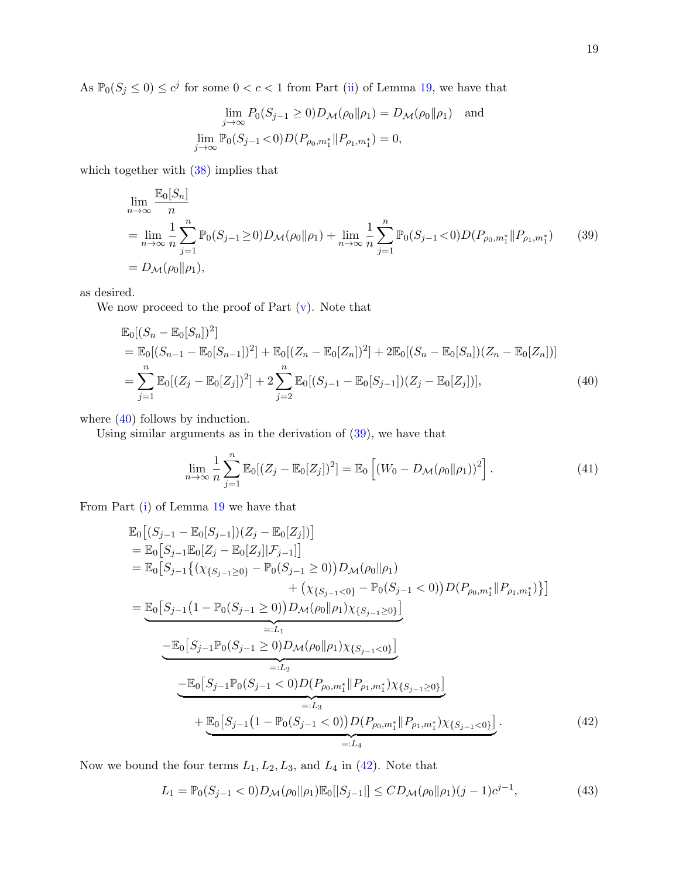As  $\mathbb{P}_0(S_j \leq 0) \leq c^j$  for some  $0 < c < 1$  from Part [\(ii\)](#page-15-5) of Lemma [19,](#page-15-6) we have that

<span id="page-18-1"></span>
$$
\lim_{j \to \infty} P_0(S_{j-1} \ge 0) D_{\mathcal{M}}(\rho_0 \| \rho_1) = D_{\mathcal{M}}(\rho_0 \| \rho_1) \text{ and}
$$
  

$$
\lim_{j \to \infty} \mathbb{P}_0(S_{j-1} < 0) D(P_{\rho_0, m_1^*} \| P_{\rho_1, m_1^*}) = 0,
$$

which together with  $(38)$  implies that

$$
\lim_{n \to \infty} \frac{\mathbb{E}_0[S_n]}{n} \n= \lim_{n \to \infty} \frac{1}{n} \sum_{j=1}^n \mathbb{P}_0(S_{j-1} \ge 0) D_{\mathcal{M}}(\rho_0 \| \rho_1) + \lim_{n \to \infty} \frac{1}{n} \sum_{j=1}^n \mathbb{P}_0(S_{j-1} < 0) D(P_{\rho_0, m_1^*} \| P_{\rho_1, m_1^*}) \tag{39}
$$
\n
$$
= D_{\mathcal{M}}(\rho_0 \| \rho_1),
$$

as desired.

We now proceed to the proof of Part  $(v)$ . Note that

$$
\mathbb{E}_{0}[(S_{n} - \mathbb{E}_{0}[S_{n}])^{2}]
$$
\n
$$
= \mathbb{E}_{0}[(S_{n-1} - \mathbb{E}_{0}[S_{n-1}])^{2}] + \mathbb{E}_{0}[(Z_{n} - \mathbb{E}_{0}[Z_{n}])^{2}] + 2\mathbb{E}_{0}[(S_{n} - \mathbb{E}_{0}[S_{n}])(Z_{n} - \mathbb{E}_{0}[Z_{n}])]
$$
\n
$$
= \sum_{j=1}^{n} \mathbb{E}_{0}[(Z_{j} - \mathbb{E}_{0}[Z_{j}])^{2}] + 2\sum_{j=2}^{n} \mathbb{E}_{0}[(S_{j-1} - \mathbb{E}_{0}[S_{j-1}])(Z_{j} - \mathbb{E}_{0}[Z_{j}])],
$$
\n(40)

where  $(40)$  follows by induction.

Using similar arguments as in the derivation of [\(39\)](#page-18-1), we have that

<span id="page-18-4"></span><span id="page-18-0"></span>
$$
\lim_{n \to \infty} \frac{1}{n} \sum_{j=1}^{n} \mathbb{E}_0[(Z_j - \mathbb{E}_0[Z_j])^2] = \mathbb{E}_0\left[ (W_0 - D_{\mathcal{M}}(\rho_0 \|\rho_1))^2 \right]. \tag{41}
$$

From Part [\(i\)](#page-15-1) of Lemma [19](#page-15-6) we have that

$$
\mathbb{E}_{0}[(S_{j-1} - \mathbb{E}_{0}[S_{j-1}])(Z_{j} - \mathbb{E}_{0}[Z_{j}])]
$$
\n
$$
= \mathbb{E}_{0}[S_{j-1}\mathbb{E}_{0}[Z_{j} - \mathbb{E}_{0}[Z_{j}]]\mathcal{F}_{j-1}]]
$$
\n
$$
= \mathbb{E}_{0}[S_{j-1}\{(x_{\{S_{j-1}\geq 0\}} - \mathbb{P}_{0}(S_{j-1}\geq 0))D_{\mathcal{M}}(\rho_{0}||\rho_{1}) + (x_{\{S_{j-1}< 0\}} - \mathbb{P}_{0}(S_{j-1}< 0))D(P_{\rho_{0},m_{1}^{*}}||P_{\rho_{1},m_{1}^{*}})\}]
$$
\n
$$
= \underbrace{\mathbb{E}_{0}[S_{j-1}(1 - \mathbb{P}_{0}(S_{j-1}\geq 0))D_{\mathcal{M}}(\rho_{0}||\rho_{1})\chi_{\{S_{j-1}\geq 0\}}]}_{=:L_{1}}
$$
\n
$$
- \underbrace{\mathbb{E}_{0}[S_{j-1}\mathbb{P}_{0}(S_{j-1}\geq 0)D_{\mathcal{M}}(\rho_{0}||\rho_{1})\chi_{\{S_{j-1}< 0\}}]}_{=:L_{2}}
$$
\n
$$
- \underbrace{\mathbb{E}_{0}[S_{j-1}\mathbb{P}_{0}(S_{j-1}< 0)D(P_{\rho_{0},m_{1}^{*}}||P_{\rho_{1},m_{1}^{*}})\chi_{\{S_{j-1}\geq 0\}}]}_{=:L_{3}}
$$
\n
$$
+ \underbrace{\mathbb{E}_{0}[S_{j-1}(1 - \mathbb{P}_{0}(S_{j-1}< 0))D(P_{\rho_{0},m_{1}^{*}}||P_{\rho_{1},m_{1}^{*}})\chi_{\{S_{j-1}< 0\}}]}_{=:L_{4}}.
$$
\n(42)

Now we bound the four terms  $L_1, L_2, L_3$ , and  $L_4$  in [\(42\)](#page-18-2). Note that

<span id="page-18-3"></span><span id="page-18-2"></span>
$$
L_1 = \mathbb{P}_0(S_{j-1} < 0) D_{\mathcal{M}}(\rho_0 \| \rho_1) \mathbb{E}_0[|S_{j-1}|] \leq C D_{\mathcal{M}}(\rho_0 \| \rho_1) (j-1) c^{j-1},\tag{43}
$$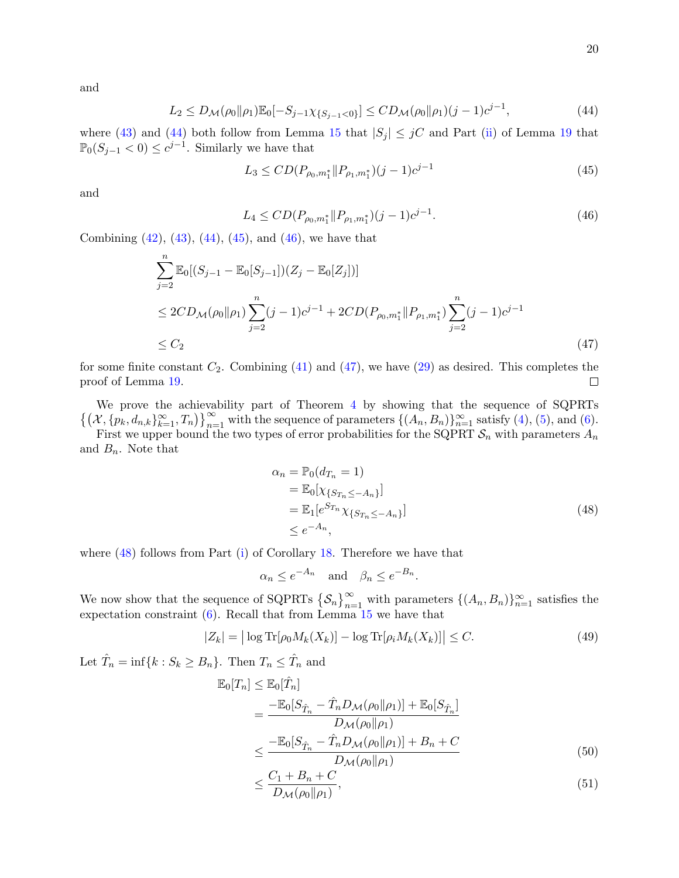and

$$
L_2 \le D_{\mathcal{M}}(\rho_0 \| \rho_1) \mathbb{E}_0[-S_{j-1} \chi_{\{S_{j-1} < 0\}}] \le CD_{\mathcal{M}}(\rho_0 \| \rho_1) (j-1) c^{j-1},\tag{44}
$$

where [\(43\)](#page-18-3) and [\(44\)](#page-19-0) both follow from Lemma [15](#page-11-1) that  $|S_i| \leq jC$  and Part [\(ii\)](#page-15-5) of Lemma [19](#page-15-6) that  $\mathbb{P}_0(S_{j-1} < 0) \leq c^{j-1}$ . Similarly we have that

<span id="page-19-2"></span><span id="page-19-1"></span><span id="page-19-0"></span>
$$
L_3 \le CD(P_{\rho_0, m_1^*} || P_{\rho_1, m_1^*})(j-1)c^{j-1}
$$
\n(45)

and

$$
L_4 \leq CD(P_{\rho_0, m_1^*} || P_{\rho_1, m_1^*})(j-1)c^{j-1}.
$$
\n(46)

Combining  $(42)$ ,  $(43)$ ,  $(44)$ ,  $(45)$ , and  $(46)$ , we have that

$$
\sum_{j=2}^{n} \mathbb{E}_{0}[(S_{j-1} - \mathbb{E}_{0}[S_{j-1}])(Z_{j} - \mathbb{E}_{0}[Z_{j}])]
$$
\n
$$
\leq 2CD_{\mathcal{M}}(\rho_{0}||\rho_{1}) \sum_{j=2}^{n} (j-1)c^{j-1} + 2CD(P_{\rho_{0},m_{1}^{*}}||P_{\rho_{1},m_{1}^{*}}) \sum_{j=2}^{n} (j-1)c^{j-1}
$$
\n
$$
\leq C_{2} \tag{47}
$$

for some finite constant  $C_2$ . Combining [\(41\)](#page-18-4) and [\(47\)](#page-19-3), we have [\(29\)](#page-15-9) as desired. This completes the proof of Lemma [19.](#page-15-6)  $\Box$ 

We prove the achievability part of Theorem [4](#page-7-0) by showing that the sequence of SQPRTs  $\{(X, \{p_k, d_{n,k}\}_{k=1}^{\infty}, T_n)\}_{n=1}^{\infty}$  with the sequence of parameters  $\{(A_n, B_n)\}_{n=1}^{\infty}$  satisfy [\(4\)](#page-6-0), [\(5\)](#page-6-1), and [\(6\)](#page-6-2).

First we upper bound the two types of error probabilities for the SQPRT  $\mathcal{S}_n$  with parameters  $A_n$ and  $B_n$ . Note that

<span id="page-19-4"></span><span id="page-19-3"></span>
$$
\alpha_n = \mathbb{P}_0(d_{T_n} = 1)
$$
  
\n
$$
= \mathbb{E}_0[\chi_{\{S_{T_n} \le -A_n\}}]
$$
  
\n
$$
= \mathbb{E}_1[e^{S_{T_n}} \chi_{\{S_{T_n} \le -A_n\}}]
$$
  
\n
$$
\le e^{-A_n},
$$
\n(48)

where  $(48)$  follows from Part [\(i\)](#page-13-9) of Corollary [18.](#page-13-8) Therefore we have that

<span id="page-19-6"></span>
$$
\alpha_n \le e^{-A_n}
$$
 and  $\beta_n \le e^{-B_n}$ .

We now show that the sequence of SQPRTs  $\{S_n\}_{n=1}^{\infty}$  with parameters  $\{(A_n, B_n)\}_{n=1}^{\infty}$  satisfies the expectation constraint  $(6)$ . Recall that from Lemma [15](#page-11-1) we have that

$$
|Z_k| = |\log \text{Tr}[\rho_0 M_k(X_k)] - \log \text{Tr}[\rho_i M_k(X_k)]| \le C. \tag{49}
$$

Let  $\hat{T}_n = \inf\{k : S_k \geq B_n\}$ . Then  $T_n \leq \hat{T}_n$  and

$$
\mathbb{E}_{0}[T_{n}] \leq \mathbb{E}_{0}[\hat{T}_{n}]
$$
\n
$$
= \frac{-\mathbb{E}_{0}[S_{\hat{T}_{n}} - \hat{T}_{n}D_{\mathcal{M}}(\rho_{0}||\rho_{1})] + \mathbb{E}_{0}[S_{\hat{T}_{n}}]}{D_{\mathcal{M}}(\rho_{0}||\rho_{1})}
$$
\n
$$
\leq \frac{-\mathbb{E}_{0}[S_{\hat{T}_{n}} - \hat{T}_{n}D_{\mathcal{M}}(\rho_{0}||\rho_{1})] + B_{n} + C}{D_{\mathcal{M}}(\rho_{0}||\rho_{1})}
$$
\n(50)

<span id="page-19-7"></span><span id="page-19-5"></span>
$$
\leq \frac{C_1 + B_n + C}{D_{\mathcal{M}}(\rho_0 \| \rho_1)},\tag{51}
$$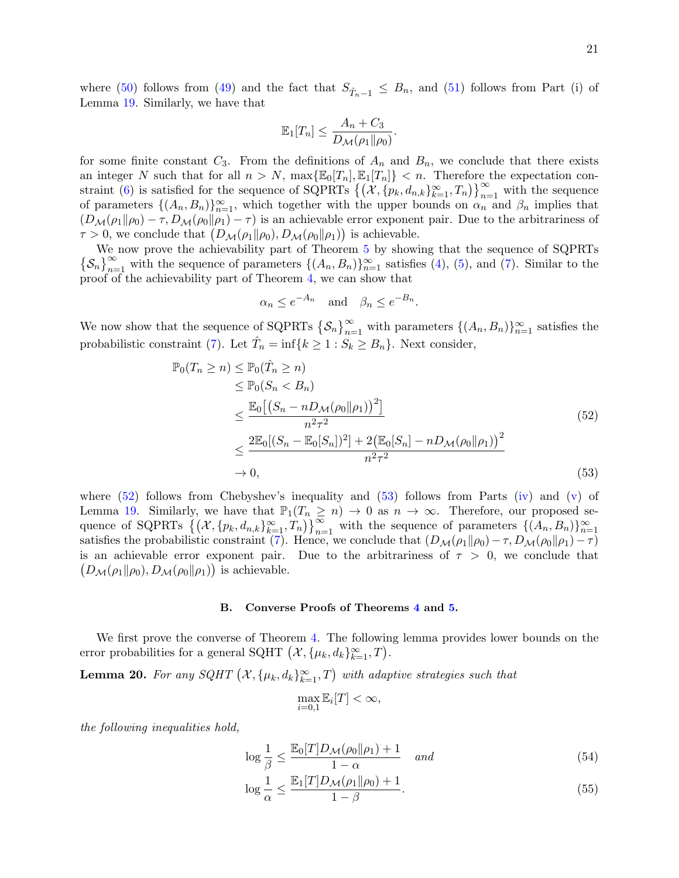where [\(50\)](#page-19-5) follows from [\(49\)](#page-19-6) and the fact that  $S_{\hat{T}_n-1} \leq B_n$ , and [\(51\)](#page-19-7) follows from Part (i) of Lemma [19.](#page-15-6) Similarly, we have that

$$
\mathbb{E}_1[T_n] \leq \frac{A_n + C_3}{D_{\mathcal{M}}(\rho_1 \| \rho_0)}.
$$

for some finite constant  $C_3$ . From the definitions of  $A_n$  and  $B_n$ , we conclude that there exists an integer N such that for all  $n > N$ ,  $\max{\mathbb{E}_{0}[T_n], \mathbb{E}_{1}[T_n]} < n$ . Therefore the expectation con-straint [\(6\)](#page-6-2) is satisfied for the sequence of SQPRTs  $\{(X, \{p_k, d_{n,k}\}_{k=1}^{\infty}, T_n)\}_{n=1}^{\infty}$  with the sequence of parameters  $\{(A_n, B_n)\}_{n=1}^{\infty}$ , which together with the upper bounds on  $\alpha_n$  and  $\beta_n$  implies that  $(D_{\mathcal{M}}(\rho_1\|\rho_0) - \tau, D_{\mathcal{M}}(\rho_0\|\rho_1) - \tau)$  is an achievable error exponent pair. Due to the arbitrariness of  $\tau > 0$ , we conclude that  $(D_{\mathcal{M}}(\rho_1 \| \rho_0), D_{\mathcal{M}}(\rho_0 \| \rho_1))$  is achievable.

We now prove the achievability part of Theorem [5](#page-7-1) by showing that the sequence of SQPRTs  $\{\mathcal{S}_n\}_{n=1}^{\infty}$  with the sequence of parameters  $\{(A_n, B_n)\}_{n=1}^{\infty}$  satisfies [\(4\)](#page-6-0), [\(5\)](#page-6-1), and [\(7\)](#page-6-3). Similar to the proof of the achievability part of Theorem [4,](#page-7-0) we can show that

$$
\alpha_n \le e^{-A_n}
$$
 and  $\beta_n \le e^{-B_n}$ 

We now show that the sequence of SQPRTs  $\{S_n\}_{n=1}^{\infty}$  with parameters  $\{(A_n, B_n)\}_{n=1}^{\infty}$  satisfies the probabilistic constraint [\(7\)](#page-6-3). Let  $\hat{T}_n = \inf\{k \geq 1 : S_k \geq B_n\}$ . Next consider,

$$
\mathbb{P}_0(T_n \ge n) \le \mathbb{P}_0(\hat{T}_n \ge n)
$$
  
\n
$$
\le \mathbb{P}_0(S_n < B_n)
$$
  
\n
$$
\le \frac{\mathbb{E}_0\left[\left(S_n - nD_{\mathcal{M}}(\rho_0||\rho_1)\right)^2\right]}{n^2 \tau^2}
$$
  
\n
$$
\le \frac{2\mathbb{E}_0\left[\left(S_n - \mathbb{E}_0[S_n]\right)^2\right] + 2\left(\mathbb{E}_0[S_n] - nD_{\mathcal{M}}(\rho_0||\rho_1)\right)^2}{n^2 \tau^2}
$$
  
\n
$$
\to 0,
$$
\n(53)

<span id="page-20-1"></span><span id="page-20-0"></span>.

where  $(52)$  follows from Chebyshev's inequality and  $(53)$  follows from Parts  $(iv)$  and  $(v)$  of Lemma [19.](#page-15-6) Similarly, we have that  $\mathbb{P}_1(T_n \geq n) \to 0$  as  $n \to \infty$ . Therefore, our proposed sequence of SQPRTs  $\{(\mathcal{X}, \{p_k, d_{n,k}\}_{k=1}^{\infty}, T_n)\}_{n=1}^{\infty}$  with the sequence of parameters  $\{(\overline{A_n}, B_n)\}_{n=1}^{\infty}$ satisfies the probabilistic constraint [\(7\)](#page-6-3). Hence, we conclude that  $(D_{\mathcal{M}}(\rho_1 \| \rho_0) - \tau, D_{\mathcal{M}}(\rho_0 \| \rho_1) - \tau)$ is an achievable error exponent pair. Due to the arbitrariness of  $\tau > 0$ , we conclude that  $(D_{\mathcal{M}}(\rho_1 \| \rho_0), D_{\mathcal{M}}(\rho_0 \| \rho_1))$  is achievable.

### B. Converse Proofs of Theorems [4](#page-7-0) and [5.](#page-7-1)

We first prove the converse of Theorem [4.](#page-7-0) The following lemma provides lower bounds on the error probabilities for a general SQHT  $(\mathcal{X}, {\mu_k}, d_k}_{k=1}^{\infty}, T)$ .

<span id="page-20-4"></span>**Lemma 20.** For any SQHT  $(X, {\mu_k}, d_k)_{k=1}^{\infty}, T)$  with adaptive strategies such that

<span id="page-20-3"></span><span id="page-20-2"></span>
$$
\max_{i=0,1} \mathbb{E}_i[T] < \infty,
$$

the following inequalities hold,

$$
\log \frac{1}{\beta} \le \frac{\mathbb{E}_0[T]D_{\mathcal{M}}(\rho_0 \| \rho_1) + 1}{1 - \alpha} \quad \text{and} \tag{54}
$$

$$
\log \frac{1}{\alpha} \le \frac{\mathbb{E}_1[T]D_{\mathcal{M}}(\rho_1 \| \rho_0) + 1}{1 - \beta}.
$$
\n(55)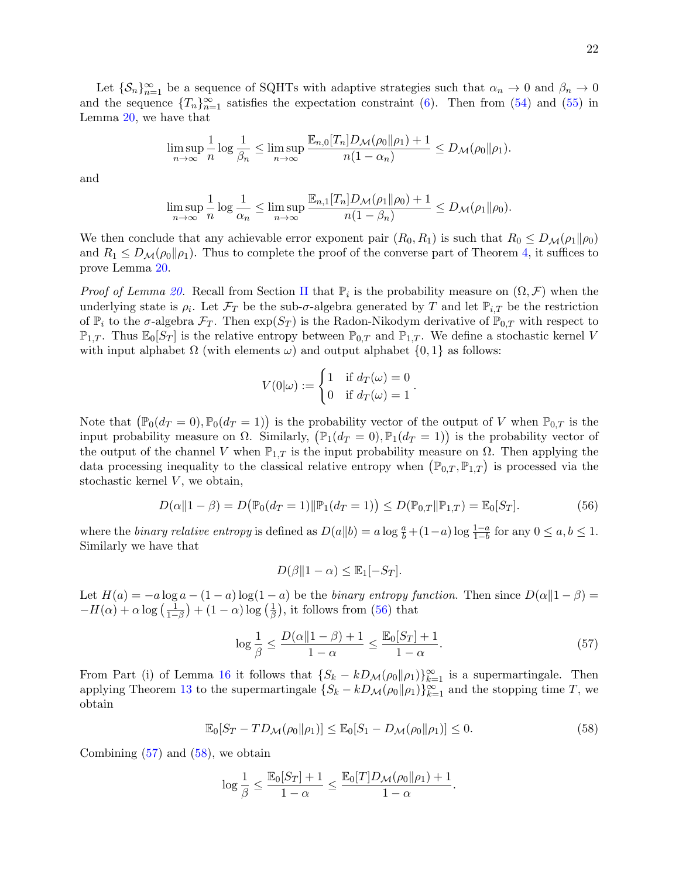Let  $\{S_n\}_{n=1}^{\infty}$  be a sequence of SQHTs with adaptive strategies such that  $\alpha_n \to 0$  and  $\beta_n \to 0$ and the sequence  ${T_n}_{n=1}^{\infty}$  satisfies the expectation constraint [\(6\)](#page-6-2). Then from [\(54\)](#page-20-2) and [\(55\)](#page-20-3) in Lemma [20,](#page-20-4) we have that

$$
\limsup_{n\to\infty}\frac{1}{n}\log\frac{1}{\beta_n}\leq \limsup_{n\to\infty}\frac{\mathbb{E}_{n,0}[T_n]D_{\mathcal{M}}(\rho_0\|\rho_1)+1}{n(1-\alpha_n)}\leq D_{\mathcal{M}}(\rho_0\|\rho_1).
$$

and

$$
\limsup_{n\to\infty}\frac{1}{n}\log\frac{1}{\alpha_n}\leq \limsup_{n\to\infty}\frac{\mathbb{E}_{n,1}[T_n]D_{\mathcal{M}}(\rho_1\|\rho_0)+1}{n(1-\beta_n)}\leq D_{\mathcal{M}}(\rho_1\|\rho_0).
$$

We then conclude that any achievable error exponent pair  $(R_0, R_1)$  is such that  $R_0 \leq D_{\mathcal{M}}(\rho_1 \| \rho_0)$ and  $R_1 \leq D_{\mathcal{M}}(\rho_0||\rho_1)$ . Thus to complete the proof of the converse part of Theorem [4,](#page-7-0) it suffices to prove Lemma [20.](#page-20-4)

*Proof of Lemma [20.](#page-20-4)* Recall from Section [II](#page-3-0) that  $\mathbb{P}_i$  is the probability measure on  $(\Omega, \mathcal{F})$  when the underlying state is  $\rho_i$ . Let  $\mathcal{F}_T$  be the sub- $\sigma$ -algebra generated by T and let  $\mathbb{P}_{i,T}$  be the restriction of  $\mathbb{P}_i$  to the  $\sigma$ -algebra  $\mathcal{F}_T$ . Then  $\exp(S_T)$  is the Radon-Nikodym derivative of  $\mathbb{P}_{0,T}$  with respect to  $\mathbb{P}_{1,T}$ . Thus  $\mathbb{E}_0[S_T]$  is the relative entropy between  $\mathbb{P}_{0,T}$  and  $\mathbb{P}_{1,T}$ . We define a stochastic kernel V with input alphabet  $\Omega$  (with elements  $\omega$ ) and output alphabet  $\{0, 1\}$  as follows:

$$
V(0|\omega) := \begin{cases} 1 & \text{if } d_T(\omega) = 0 \\ 0 & \text{if } d_T(\omega) = 1 \end{cases}.
$$

Note that  $(\mathbb{P}_0(d_T = 0), \mathbb{P}_0(d_T = 1))$  is the probability vector of the output of V when  $\mathbb{P}_{0,T}$  is the input probability measure on  $\Omega$ . Similarly,  $(\mathbb{P}_1(d_T = 0), \mathbb{P}_1(d_T = 1))$  is the probability vector of the output of the channel V when  $\mathbb{P}_{1,T}$  is the input probability measure on  $\Omega$ . Then applying the data processing inequality to the classical relative entropy when  $(\mathbb{P}_{0,T}, \mathbb{P}_{1,T})$  is processed via the stochastic kernel  $V$ , we obtain,

$$
D(\alpha \| 1 - \beta) = D(\mathbb{P}_0(d_T = 1) \| \mathbb{P}_1(d_T = 1)) \le D(\mathbb{P}_{0,T} \| \mathbb{P}_{1,T}) = \mathbb{E}_0[S_T].
$$
\n(56)

where the *binary relative entropy* is defined as  $D(a||b) = a \log \frac{a}{b} + (1-a) \log \frac{1-a}{1-b}$  for any  $0 \le a, b \le 1$ . Similarly we have that

<span id="page-21-2"></span><span id="page-21-1"></span><span id="page-21-0"></span>
$$
D(\beta \|1 - \alpha) \le \mathbb{E}_1[-S_T].
$$

Let  $H(a) = -a \log a - (1 - a) \log(1 - a)$  be the binary entropy function. Then since  $D(\alpha || 1 - \beta) =$  $-H(\alpha) + \alpha \log \left(\frac{1}{1-\beta}\right) + (1-\alpha) \log \left(\frac{1}{\beta}\right)$  $\frac{1}{\beta}$ ), it follows from [\(56\)](#page-21-0) that

$$
\log\frac{1}{\beta} \le \frac{D(\alpha||1-\beta)+1}{1-\alpha} \le \frac{\mathbb{E}_0[S_T]+1}{1-\alpha}.\tag{57}
$$

From Part (i) of Lemma [16](#page-12-7) it follows that  $\{S_k - kD_{\mathcal{M}}(\rho_0||\rho_1)\}_{k=1}^{\infty}$  is a supermartingale. Then applying Theorem [13](#page-11-2) to the supermartingale  $\{S_k - kD_{\mathcal{M}}(\rho_0||\rho_1)\}_{k=1}^{\infty}$  and the stopping time T, we obtain

$$
\mathbb{E}_0[S_T - TD_{\mathcal{M}}(\rho_0 \| \rho_1)] \le \mathbb{E}_0[S_1 - D_{\mathcal{M}}(\rho_0 \| \rho_1)] \le 0.
$$
\n(58)

Combining  $(57)$  and  $(58)$ , we obtain

$$
\log \frac{1}{\beta} \leq \frac{\mathbb{E}_0[S_T] + 1}{1 - \alpha} \leq \frac{\mathbb{E}_0[T]D_{\mathcal{M}}(\rho_0 \|\rho_1) + 1}{1 - \alpha}.
$$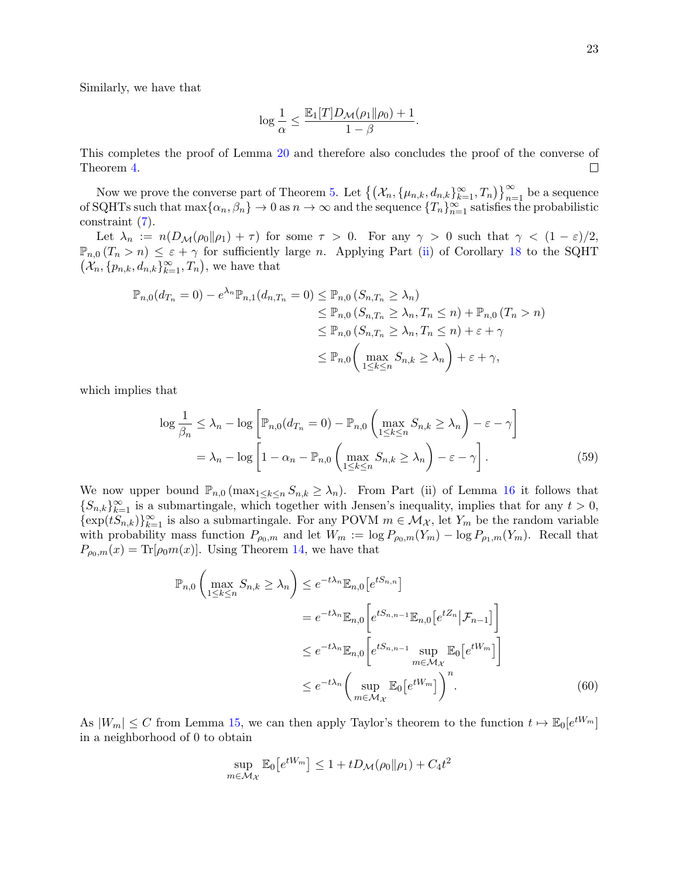Similarly, we have that

$$
\log \frac{1}{\alpha} \leq \frac{\mathbb{E}_1[T]D_{\mathcal{M}}(\rho_1\|\rho_0)+1}{1-\beta}.
$$

This completes the proof of Lemma [20](#page-20-4) and therefore also concludes the proof of the converse of  $\Box$ Theorem [4.](#page-7-0)

Now we prove the converse part of Theorem [5.](#page-7-1) Let  $\{(X_n, {\{\mu_{n,k}, d_{n,k}\}}_{k=1}^{\infty}, T_n)\}_{n=1}^{\infty}$  be a sequence of SQHTs such that  $\max\{\alpha_n,\beta_n\}\to 0$  as  $n\to\infty$  and the sequence  $\{T_n\}_{n=1}^\infty$  satisfies the probabilistic constraint [\(7\)](#page-6-3).

Let  $\lambda_n := n(D_{\mathcal{M}}(\rho_0||\rho_1) + \tau)$  for some  $\tau > 0$ . For any  $\gamma > 0$  such that  $\gamma < (1 - \varepsilon)/2$ ,  $\mathbb{P}_{n,0} (T_n > n) \leq \varepsilon + \gamma$  for sufficiently large n. Applying Part [\(ii\)](#page-13-10) of Corollary [18](#page-13-8) to the SQHT  $(\mathcal{X}_n, \{p_{n,k}, d_{n,k}\}_{k=1}^{\infty}, T_n)$ , we have that

$$
\mathbb{P}_{n,0}(d_{T_n} = 0) - e^{\lambda_n} \mathbb{P}_{n,1}(d_{n,T_n} = 0) \leq \mathbb{P}_{n,0} (S_{n,T_n} \geq \lambda_n)
$$
  
\n
$$
\leq \mathbb{P}_{n,0} (S_{n,T_n} \geq \lambda_n, T_n \leq n) + \mathbb{P}_{n,0} (T_n > n)
$$
  
\n
$$
\leq \mathbb{P}_{n,0} (S_{n,T_n} \geq \lambda_n, T_n \leq n) + \varepsilon + \gamma
$$
  
\n
$$
\leq \mathbb{P}_{n,0} \left( \max_{1 \leq k \leq n} S_{n,k} \geq \lambda_n \right) + \varepsilon + \gamma,
$$

which implies that

<span id="page-22-1"></span>
$$
\log \frac{1}{\beta_n} \le \lambda_n - \log \left[ \mathbb{P}_{n,0}(d_{T_n} = 0) - \mathbb{P}_{n,0} \left( \max_{1 \le k \le n} S_{n,k} \ge \lambda_n \right) - \varepsilon - \gamma \right]
$$
  
=  $\lambda_n - \log \left[ 1 - \alpha_n - \mathbb{P}_{n,0} \left( \max_{1 \le k \le n} S_{n,k} \ge \lambda_n \right) - \varepsilon - \gamma \right].$  (59)

We now upper bound  $\mathbb{P}_{n,0}$  ( $\max_{1 \leq k \leq n} S_{n,k} \geq \lambda_n$ ). From Part (ii) of Lemma [16](#page-12-7) it follows that  ${S_{n,k}}_{k=1}^{\infty}$  is a submartingale, which together with Jensen's inequality, implies that for any  $t > 0$ ,  $\{\exp(tS_{n,k})\}_{k=1}^{\infty}$  is also a submartingale. For any POVM  $m \in \mathcal{M}_{\mathcal{X}}$ , let  $Y_m$  be the random variable with probability mass function  $P_{\rho_0,m}$  and let  $W_m := \log P_{\rho_0,m}(Y_m) - \log P_{\rho_1,m}(Y_m)$ . Recall that  $P_{\rho_0,m}(x) = \text{Tr}[\rho_0 m(x)]$ . Using Theorem [14,](#page-11-3) we have that

$$
\mathbb{P}_{n,0}\left(\max_{1\leq k\leq n} S_{n,k} \geq \lambda_n\right) \leq e^{-t\lambda_n} \mathbb{E}_{n,0}\left[e^{tS_{n,n}}\right]
$$

$$
= e^{-t\lambda_n} \mathbb{E}_{n,0}\left[e^{tS_{n,n-1}}\mathbb{E}_{n,0}\left[e^{tZ_n}|\mathcal{F}_{n-1}\right]\right]
$$

$$
\leq e^{-t\lambda_n} \mathbb{E}_{n,0}\left[e^{tS_{n,n-1}}\sup_{m\in\mathcal{M}_{\mathcal{X}}}\mathbb{E}_{0}\left[e^{tW_m}\right]\right]
$$

$$
\leq e^{-t\lambda_n} \left(\sup_{m\in\mathcal{M}_{\mathcal{X}}}\mathbb{E}_{0}\left[e^{tW_m}\right]\right)^n. \tag{60}
$$

As  $|W_m| \leq C$  from Lemma [15,](#page-11-1) we can then apply Taylor's theorem to the function  $t \mapsto \mathbb{E}_0[e^{tW_m}]$ in a neighborhood of 0 to obtain

<span id="page-22-0"></span>
$$
\sup_{m \in \mathcal{M}_{\mathcal{X}}} \mathbb{E}_0 \big[ e^{tW_m} \big] \le 1 + t D_{\mathcal{M}}(\rho_0 \| \rho_1) + C_4 t^2
$$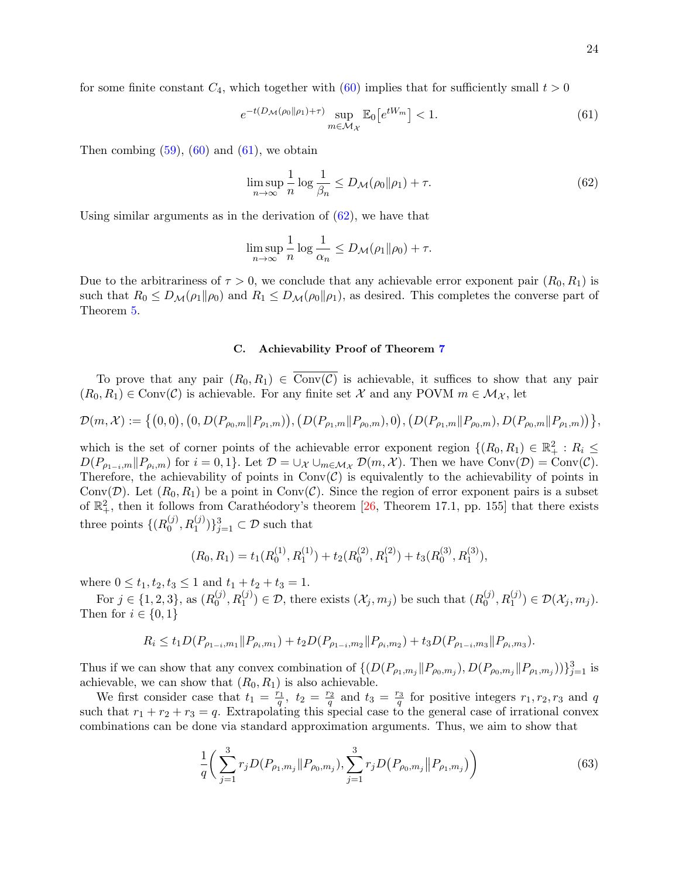for some finite constant  $C_4$ , which together with  $(60)$  implies that for sufficiently small  $t > 0$ 

$$
e^{-t(D_{\mathcal{M}}(\rho_0||\rho_1)+\tau)}\sup_{m\in\mathcal{M}_{\mathcal{X}}} \mathbb{E}_0\left[e^{tW_m}\right] < 1. \tag{61}
$$

Then combing  $(59)$ ,  $(60)$  and  $(61)$ , we obtain

<span id="page-23-1"></span><span id="page-23-0"></span>
$$
\limsup_{n \to \infty} \frac{1}{n} \log \frac{1}{\beta_n} \le D_{\mathcal{M}}(\rho_0 \| \rho_1) + \tau.
$$
\n(62)

Using similar arguments as in the derivation of  $(62)$ , we have that

$$
\limsup_{n \to \infty} \frac{1}{n} \log \frac{1}{\alpha_n} \le D_{\mathcal{M}}(\rho_1 \| \rho_0) + \tau.
$$

Due to the arbitrariness of  $\tau > 0$ , we conclude that any achievable error exponent pair  $(R_0, R_1)$  is such that  $R_0 \leq D_{\mathcal{M}}(\rho_1 \| \rho_0)$  and  $R_1 \leq D_{\mathcal{M}}(\rho_0 \| \rho_1)$ , as desired. This completes the converse part of Theorem [5.](#page-7-1)

### C. Achievability Proof of Theorem [7](#page-8-1)

To prove that any pair  $(R_0, R_1) \in Conv(\mathcal{C})$  is achievable, it suffices to show that any pair  $(R_0, R_1) \in Conv(\mathcal{C})$  is achievable. For any finite set X and any POVM  $m \in \mathcal{M}_{\mathcal{X}}$ , let

$$
\mathcal{D}(m,\mathcal{X}) := \left\{ (0,0), (0, D(P_{\rho_0,m}||P_{\rho_1,m})) , (D(P_{\rho_1,m}||P_{\rho_0,m}), 0), (D(P_{\rho_1,m}||P_{\rho_0,m}), D(P_{\rho_0,m}||P_{\rho_1,m})) \right\},\,
$$

which is the set of corner points of the achievable error exponent region  $\{(R_0, R_1) \in \mathbb{R}_+^2 : R_i \leq$  $D(P_{\rho_{1-i},m}||P_{\rho_i,m})$  for  $i=0,1$ . Let  $\mathcal{D}=\cup_{\mathcal{X}}\cup_{m\in\mathcal{M}_{\mathcal{X}}}\mathcal{D}(m,\mathcal{X})$ . Then we have Conv $(\mathcal{D})=\text{Conv}(\mathcal{C})$ . Therefore, the achievability of points in  $Conv(\mathcal{C})$  is equivalently to the achievability of points in Conv(D). Let  $(R_0, R_1)$  be a point in Conv(C). Since the region of error exponent pairs is a subset of  $\mathbb{R}^2_+$ , then it follows from Carathéodory's theorem [\[26,](#page-32-19) Theorem 17.1, pp. 155] that there exists three points  $\{R_0^{(j)}\}$  ${(j), \binom{j}{0}, R_1^{(j)})\}_{j=1}^3 \subset \mathcal{D}$  such that

$$
(R_0, R_1) = t_1(R_0^{(1)}, R_1^{(1)}) + t_2(R_0^{(2)}, R_1^{(2)}) + t_3(R_0^{(3)}, R_1^{(3)}),
$$

where  $0 \le t_1, t_2, t_3 \le 1$  and  $t_1 + t_2 + t_3 = 1$ .

For  $j \in \{1, 2, 3\}$ , as  $(R_0^{(j)}$  $(0,0), R_1^{(j)}) \in \mathcal{D}$ , there exists  $(\mathcal{X}_j, m_j)$  be such that  $(R_0^{(j)})$  $_{0}^{(j)}, R_{1}^{(j)}) \in \mathcal{D}(\mathcal{X}_j, m_j).$ Then for  $i \in \{0,1\}$ 

$$
R_i \le t_1 D(P_{\rho_{1-i},m_1}||P_{\rho_i,m_1}) + t_2 D(P_{\rho_{1-i},m_2}||P_{\rho_i,m_2}) + t_3 D(P_{\rho_{1-i},m_3}||P_{\rho_i,m_3}).
$$

Thus if we can show that any convex combination of  $\{ (D(P_{\rho_1,m_j} \| P_{\rho_0,m_j}), D(P_{\rho_0,m_j} \| P_{\rho_1,m_j})) \}_{j=1}^3$  is achievable, we can show that  $(R_0, R_1)$  is also achievable.

We first consider case that  $t_1 = \frac{r_1}{q}$ ,  $t_2 = \frac{r_2}{q}$  and  $t_3 = \frac{r_3}{q}$  for positive integers  $r_1, r_2, r_3$  and q such that  $r_1 + r_2 + r_3 = q$ . Extrapolating this special case to the general case of irrational convex combinations can be done via standard approximation arguments. Thus, we aim to show that

<span id="page-23-2"></span>
$$
\frac{1}{q} \bigg( \sum_{j=1}^{3} r_j D(P_{\rho_1, m_j} || P_{\rho_0, m_j}), \sum_{j=1}^{3} r_j D(P_{\rho_0, m_j} || P_{\rho_1, m_j}) \bigg) \tag{63}
$$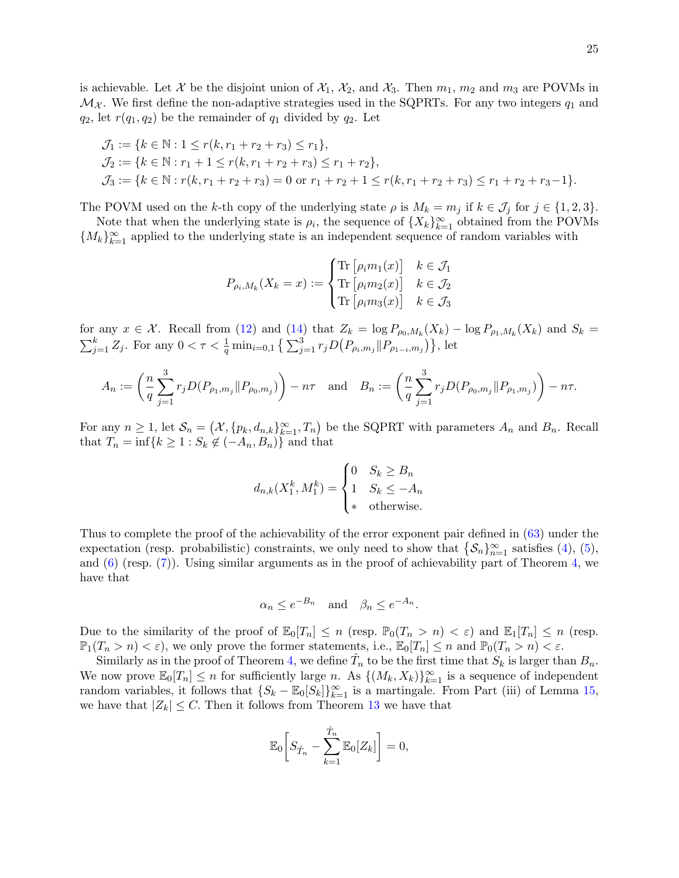is achievable. Let X be the disjoint union of  $\mathcal{X}_1$ ,  $\mathcal{X}_2$ , and  $\mathcal{X}_3$ . Then  $m_1$ ,  $m_2$  and  $m_3$  are POVMs in  $\mathcal{M}_{\mathcal{X}}$ . We first define the non-adaptive strategies used in the SQPRTs. For any two integers  $q_1$  and  $q_2$ , let  $r(q_1, q_2)$  be the remainder of  $q_1$  divided by  $q_2$ . Let

$$
\mathcal{J}_1 := \{ k \in \mathbb{N} : 1 \le r(k, r_1 + r_2 + r_3) \le r_1 \},
$$
  
\n
$$
\mathcal{J}_2 := \{ k \in \mathbb{N} : r_1 + 1 \le r(k, r_1 + r_2 + r_3) \le r_1 + r_2 \},
$$
  
\n
$$
\mathcal{J}_3 := \{ k \in \mathbb{N} : r(k, r_1 + r_2 + r_3) = 0 \text{ or } r_1 + r_2 + 1 \le r(k, r_1 + r_2 + r_3) \le r_1 + r_2 + r_3 - 1 \}.
$$

The POVM used on the k-th copy of the underlying state  $\rho$  is  $M_k = m_j$  if  $k \in \mathcal{J}_j$  for  $j \in \{1,2,3\}$ .

Note that when the underlying state is  $\rho_i$ , the sequence of  $\{X_k\}_{k=1}^{\infty}$  obtained from the POVMs  ${M_k}_{k=1}^{\infty}$  applied to the underlying state is an independent sequence of random variables with

$$
P_{\rho_i,M_k}(X_k = x) := \begin{cases} \text{Tr}\left[\rho_i m_1(x)\right] & k \in \mathcal{J}_1\\ \text{Tr}\left[\rho_i m_2(x)\right] & k \in \mathcal{J}_2\\ \text{Tr}\left[\rho_i m_3(x)\right] & k \in \mathcal{J}_3 \end{cases}
$$

for any  $x \in \mathcal{X}$ . Recall from [\(12\)](#page-12-1) and [\(14\)](#page-12-0) that  $Z_k = \log P_{\rho_0,M_k}(X_k) - \log P_{\rho_1,M_k}(X_k)$  and  $S_k =$  $\sum_{j=1}^{k} Z_j$ . For any  $0 < \tau < \frac{1}{q} \min_{i=0,1} \left\{ \sum_{j=1}^{3} r_j D(P_{\rho_i,m_j} || P_{\rho_{1-i},m_j}) \right\}$ , let

$$
A_n := \left(\frac{n}{q} \sum_{j=1}^3 r_j D(P_{\rho_1, m_j} || P_{\rho_0, m_j})\right) - n\tau \text{ and } B_n := \left(\frac{n}{q} \sum_{j=1}^3 r_j D(P_{\rho_0, m_j} || P_{\rho_1, m_j})\right) - n\tau.
$$

For any  $n \geq 1$ , let  $\mathcal{S}_n = (\mathcal{X}, \{p_k, d_{n,k}\}_{k=1}^{\infty}, T_n)$  be the SQPRT with parameters  $A_n$  and  $B_n$ . Recall that  $T_n = \inf\{k \geq 1 : S_k \notin (-A_n, B_n)\}\$ and that

$$
d_{n,k}(X_1^k, M_1^k) = \begin{cases} 0 & S_k \ge B_n \\ 1 & S_k \le -A_n \\ \ast & \text{otherwise.} \end{cases}
$$

Thus to complete the proof of the achievability of the error exponent pair defined in [\(63\)](#page-23-2) under the expectation (resp. probabilistic) constraints, we only need to show that  $\{\mathcal{S}_n\}_{n=1}^{\infty}$  satisfies [\(4\)](#page-6-0), [\(5\)](#page-6-1), and  $(6)$  (resp.  $(7)$ ). Using similar arguments as in the proof of achievability part of Theorem [4,](#page-7-0) we have that

$$
\alpha_n \le e^{-B_n}
$$
 and  $\beta_n \le e^{-A_n}$ .

Due to the similarity of the proof of  $\mathbb{E}_0[T_n] \leq n$  (resp.  $\mathbb{P}_0(T_n > n) < \varepsilon$ ) and  $\mathbb{E}_1[T_n] \leq n$  (resp.  $\mathbb{P}_1(T_n > n) < \varepsilon$ , we only prove the former statements, i.e.,  $\mathbb{E}_0[T_n] \leq n$  and  $\mathbb{P}_0(T_n > n) < \varepsilon$ .

Similarly as in the proof of Theorem [4,](#page-7-0) we define  $\hat{T}_n$  to be the first time that  $S_k$  is larger than  $B_n$ . We now prove  $\mathbb{E}_0[T_n] \leq n$  for sufficiently large n. As  $\{(M_k, X_k)\}_{k=1}^{\infty}$  is a sequence of independent random variables, it follows that  $\{S_k - \mathbb{E}_0[S_k]\}_{k=1}^{\infty}$  is a martingale. From Part (iii) of Lemma [15,](#page-11-1) we have that  $|Z_k| \leq C$ . Then it follows from Theorem [13](#page-11-2) we have that

$$
\mathbb{E}_0\bigg[S_{\hat{T}_n} - \sum_{k=1}^{\hat{T}_n} \mathbb{E}_0[Z_k]\bigg] = 0,
$$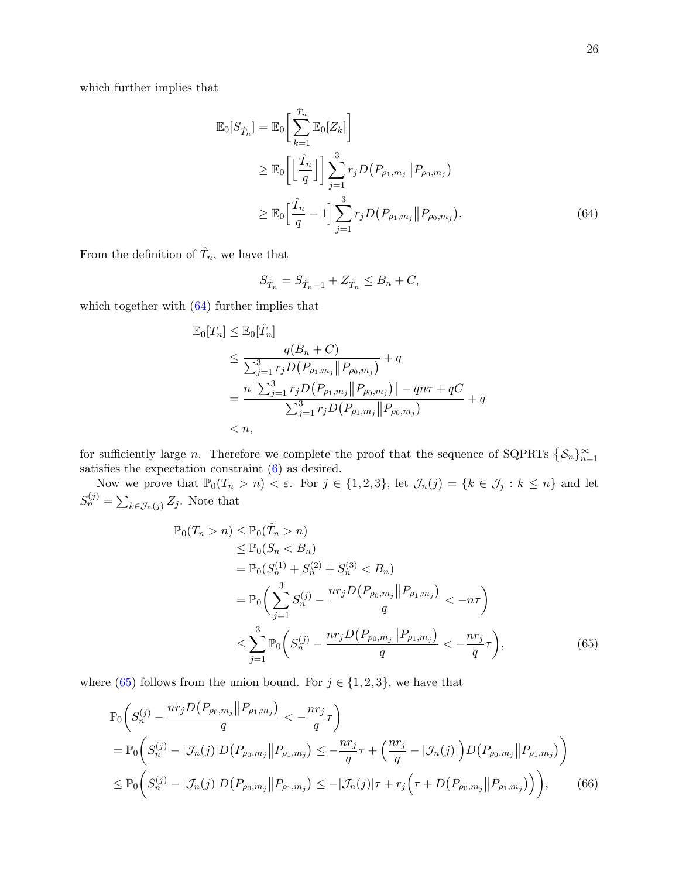which further implies that

$$
\mathbb{E}_{0}[S_{\hat{T}_{n}}] = \mathbb{E}_{0}\left[\sum_{k=1}^{\hat{T}_{n}}\mathbb{E}_{0}[Z_{k}]\right]
$$
\n
$$
\geq \mathbb{E}_{0}\left[\left\lfloor\frac{\hat{T}_{n}}{q}\right\rfloor\right] \sum_{j=1}^{3} r_{j} D\left(P_{\rho_{1},m_{j}} \| P_{\rho_{0},m_{j}}\right)
$$
\n
$$
\geq \mathbb{E}_{0}\left[\frac{\hat{T}_{n}}{q} - 1\right] \sum_{j=1}^{3} r_{j} D\left(P_{\rho_{1},m_{j}} \| P_{\rho_{0},m_{j}}\right).
$$
\n(64)

From the definition of  $\hat{T}_n$ , we have that

<span id="page-25-0"></span>
$$
S_{\hat{T}_n} = S_{\hat{T}_n - 1} + Z_{\hat{T}_n} \le B_n + C,
$$

which together with [\(64\)](#page-25-0) further implies that

$$
\mathbb{E}_{0}[T_{n}] \leq \mathbb{E}_{0}[\hat{T}_{n}]
$$
\n
$$
\leq \frac{q(B_{n} + C)}{\sum_{j=1}^{3} r_{j} D(P_{\rho_{1},m_{j}} || P_{\rho_{0},m_{j}})} + q
$$
\n
$$
= \frac{n[\sum_{j=1}^{3} r_{j} D(P_{\rho_{1},m_{j}} || P_{\rho_{0},m_{j}})] - qn\tau + qC}{\sum_{j=1}^{3} r_{j} D(P_{\rho_{1},m_{j}} || P_{\rho_{0},m_{j}})} + q
$$
\n
$$
< n,
$$

for sufficiently large *n*. Therefore we complete the proof that the sequence of SQPRTs  $\{S_n\}_{n=1}^{\infty}$ satisfies the expectation constraint [\(6\)](#page-6-2) as desired.

Now we prove that  $\mathbb{P}_0(T_n > n) < \varepsilon$ . For  $j \in \{1, 2, 3\}$ , let  $\mathcal{J}_n(j) = \{k \in \mathcal{J}_j : k \leq n\}$  and let  $S_n^{(j)} = \sum_{k \in \mathcal{J}_n(j)} Z_j$ . Note that

<span id="page-25-1"></span>
$$
\mathbb{P}_0(T_n > n) \leq \mathbb{P}_0(\hat{T}_n > n)
$$
  
\n
$$
\leq \mathbb{P}_0(S_n < B_n)
$$
  
\n
$$
= \mathbb{P}_0(S_n^{(1)} + S_n^{(2)} + S_n^{(3)} < B_n)
$$
  
\n
$$
= \mathbb{P}_0\left(\sum_{j=1}^3 S_n^{(j)} - \frac{nr_j D(P_{\rho_0, m_j} || P_{\rho_1, m_j})}{q} < -n\tau\right)
$$
  
\n
$$
\leq \sum_{j=1}^3 \mathbb{P}_0\left(S_n^{(j)} - \frac{nr_j D(P_{\rho_0, m_j} || P_{\rho_1, m_j})}{q} < -\frac{nr_j}{q}\tau\right),
$$
\n(65)

where [\(65\)](#page-25-1) follows from the union bound. For  $j \in \{1, 2, 3\}$ , we have that

<span id="page-25-2"></span>
$$
\mathbb{P}_{0}\left(S_{n}^{(j)} - \frac{nr_{j}D(P_{\rho_{0},m_{j}}||P_{\rho_{1},m_{j}})}{q} < -\frac{nr_{j}}{q}\tau\right)
$$
\n
$$
= \mathbb{P}_{0}\left(S_{n}^{(j)} - |\mathcal{J}_{n}(j)|D(P_{\rho_{0},m_{j}}||P_{\rho_{1},m_{j}}) \leq -\frac{nr_{j}}{q}\tau + \left(\frac{nr_{j}}{q} - |\mathcal{J}_{n}(j)|\right)D(P_{\rho_{0},m_{j}}||P_{\rho_{1},m_{j}})\right)
$$
\n
$$
\leq \mathbb{P}_{0}\left(S_{n}^{(j)} - |\mathcal{J}_{n}(j)|D(P_{\rho_{0},m_{j}}||P_{\rho_{1},m_{j}}) \leq -|\mathcal{J}_{n}(j)|\tau + r_{j}\left(\tau + D(P_{\rho_{0},m_{j}}||P_{\rho_{1},m_{j}})\right)\right),\tag{66}
$$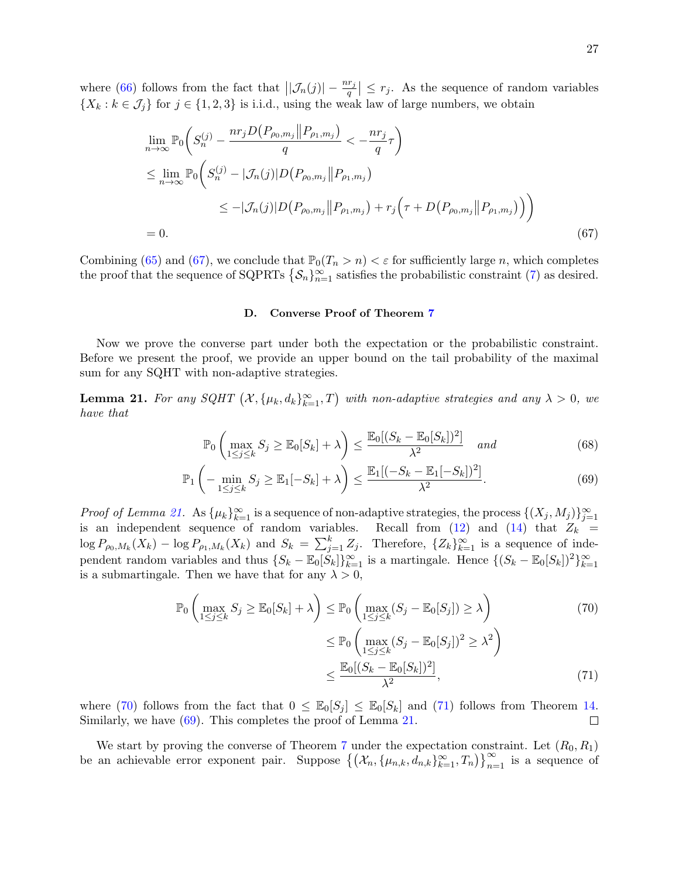where [\(66\)](#page-25-2) follows from the fact that  $\left|\left|\mathcal{J}_n(j)\right|-\frac{nr_j}{q}\right| \leq r_j$ . As the sequence of random variables  $\{X_k : k \in \mathcal{J}_j\}$  for  $j \in \{1, 2, 3\}$  is i.i.d., using the weak law of large numbers, we obtain

$$
\lim_{n \to \infty} \mathbb{P}_0 \left( S_n^{(j)} - \frac{nr_j D(P_{\rho_0, m_j} || P_{\rho_1, m_j})}{q} < -\frac{nr_j}{q} \tau \right)
$$
\n
$$
\leq \lim_{n \to \infty} \mathbb{P}_0 \left( S_n^{(j)} - |\mathcal{J}_n(j)| D(P_{\rho_0, m_j} || P_{\rho_1, m_j})
$$
\n
$$
\leq -|\mathcal{J}_n(j)| D(P_{\rho_0, m_j} || P_{\rho_1, m_j}) + r_j \left( \tau + D(P_{\rho_0, m_j} || P_{\rho_1, m_j}) \right) \right)
$$
\n
$$
= 0. \tag{67}
$$

Combining [\(65\)](#page-25-1) and [\(67\)](#page-26-0), we conclude that  $\mathbb{P}_0(T_n > n) < \varepsilon$  for sufficiently large n, which completes the proof that the sequence of SQPRTs  $\{S_n\}_{n=1}^{\infty}$  satisfies the probabilistic constraint [\(7\)](#page-6-3) as desired.

### <span id="page-26-5"></span><span id="page-26-4"></span><span id="page-26-0"></span>D. Converse Proof of Theorem [7](#page-8-1)

Now we prove the converse part under both the expectation or the probabilistic constraint. Before we present the proof, we provide an upper bound on the tail probability of the maximal sum for any SQHT with non-adaptive strategies.

<span id="page-26-1"></span>**Lemma 21.** For any SQHT  $(X, {\mu_k}, d_k)_{k=1}^{\infty}, T)$  with non-adaptive strategies and any  $\lambda > 0$ , we have that

$$
\mathbb{P}_0\left(\max_{1\leq j\leq k} S_j \geq \mathbb{E}_0[S_k] + \lambda\right) \leq \frac{\mathbb{E}_0[(S_k - \mathbb{E}_0[S_k])^2]}{\lambda^2} \quad and \tag{68}
$$

$$
\mathbb{P}_1\left(-\min_{1 \le j \le k} S_j \ge \mathbb{E}_1[-S_k] + \lambda\right) \le \frac{\mathbb{E}_1[(-S_k - \mathbb{E}_1[-S_k])^2]}{\lambda^2}.\tag{69}
$$

*Proof of Lemma [21.](#page-26-1)* As  $\{\mu_k\}_{k=1}^{\infty}$  is a sequence of non-adaptive strategies, the process  $\{(X_j, M_j)\}_{j=1}^{\infty}$ is an independent sequence of random variables. Recall from  $(12)$  and  $(14)$  that  $Z_k$  =  $\log P_{\rho_0,M_k}(X_k) - \log P_{\rho_1,M_k}(X_k)$  and  $S_k = \sum_{j=1}^k Z_j$ . Therefore,  $\{Z_k\}_{k=1}^{\infty}$  is a sequence of independent random variables and thus  $\{S_k - \mathbb{E}_0[\check{S}_k]\}_{k=1}^{\infty}$  is a martingale. Hence  $\{(S_k - \mathbb{E}_0[S_k])^2\}_{k=1}^{\infty}$ is a submartingale. Then we have that for any  $\lambda > 0$ ,

<span id="page-26-3"></span><span id="page-26-2"></span>
$$
\mathbb{P}_0\left(\max_{1\leq j\leq k} S_j \geq \mathbb{E}_0[S_k] + \lambda\right) \leq \mathbb{P}_0\left(\max_{1\leq j\leq k} (S_j - \mathbb{E}_0[S_j]) \geq \lambda\right) \leq \mathbb{P}_0\left(\max_{1\leq j\leq k} (S_j - \mathbb{E}_0[S_j])^2 \geq \lambda^2\right) \leq \frac{\mathbb{E}_0[(S_k - \mathbb{E}_0[S_k])^2]}{\lambda^2},\tag{71}
$$

where [\(70\)](#page-26-2) follows from the fact that  $0 \leq \mathbb{E}_0[S_i] \leq \mathbb{E}_0[S_k]$  and [\(71\)](#page-26-3) follows from Theorem [14.](#page-11-3) Similarly, we have  $(69)$ . This completes the proof of Lemma [21.](#page-26-1)  $\Box$ 

We start by proving the converse of Theorem [7](#page-8-1) under the expectation constraint. Let  $(R_0, R_1)$ be an achievable error exponent pair. Suppose  $\left\{ (\mathcal{X}_n, {\{\mu_{n,k}, d_{n,k}\}}_{k=1}^{\infty}, T_n) \right\}_{n=1}^{\infty}$  is a sequence of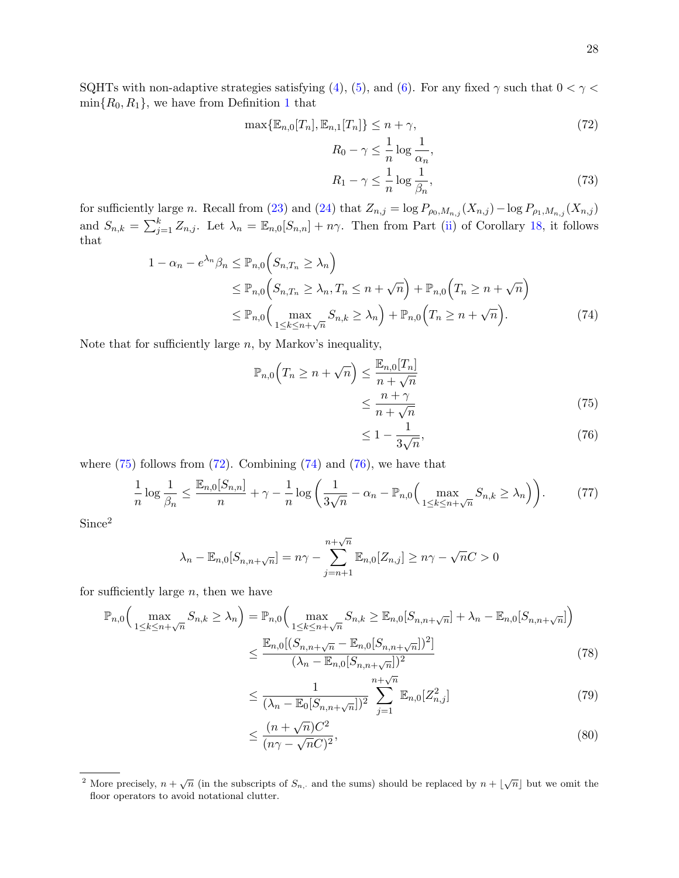SQHTs with non-adaptive strategies satisfying [\(4\)](#page-6-0), [\(5\)](#page-6-1), and [\(6\)](#page-6-2). For any fixed  $\gamma$  such that  $0 < \gamma <$  $\min\{R_0, R_1\}$  $\min\{R_0, R_1\}$  $\min\{R_0, R_1\}$ , we have from Definition 1 that

$$
\max\{\mathbb{E}_{n,0}[T_n],\mathbb{E}_{n,1}[T_n]\} \le n + \gamma,\tag{72}
$$

<span id="page-27-7"></span><span id="page-27-1"></span>
$$
R_0 - \gamma \le \frac{1}{n} \log \frac{1}{\alpha_n},
$$
  
\n
$$
R_1 - \gamma \le \frac{1}{n} \log \frac{1}{\beta_n},
$$
\n(73)

for sufficiently large n. Recall from [\(23\)](#page-14-3) and [\(24\)](#page-14-4) that  $Z_{n,j} = \log P_{\rho_0,M_{n,j}}(X_{n,j}) - \log P_{\rho_1,M_{n,j}}(X_{n,j})$ and  $S_{n,k} = \sum_{j=1}^{k} Z_{n,j}$ . Let  $\lambda_n = \mathbb{E}_{n,0}[S_{n,n}] + n\gamma$ . Then from Part [\(ii\)](#page-13-10) of Corollary [18,](#page-13-8) it follows that

$$
1 - \alpha_n - e^{\lambda_n} \beta_n \le \mathbb{P}_{n,0} \Big( S_{n,T_n} \ge \lambda_n \Big)
$$
  
\n
$$
\le \mathbb{P}_{n,0} \Big( S_{n,T_n} \ge \lambda_n, T_n \le n + \sqrt{n} \Big) + \mathbb{P}_{n,0} \Big( T_n \ge n + \sqrt{n} \Big)
$$
  
\n
$$
\le \mathbb{P}_{n,0} \Big( \max_{1 \le k \le n + \sqrt{n}} S_{n,k} \ge \lambda_n \Big) + \mathbb{P}_{n,0} \Big( T_n \ge n + \sqrt{n} \Big). \tag{74}
$$

Note that for sufficiently large  $n$ , by Markov's inequality,

$$
\mathbb{P}_{n,0}\left(T_n \ge n + \sqrt{n}\right) \le \frac{\mathbb{E}_{n,0}[T_n]}{n + \sqrt{n}} \le \frac{n + \gamma}{n + \sqrt{n}}\tag{75}
$$

<span id="page-27-8"></span><span id="page-27-4"></span><span id="page-27-3"></span><span id="page-27-2"></span><span id="page-27-0"></span>
$$
\leq 1 - \frac{1}{3\sqrt{n}},\tag{76}
$$

where  $(75)$  follows from  $(72)$ . Combining  $(74)$  and  $(76)$ , we have that

$$
\frac{1}{n}\log\frac{1}{\beta_n} \le \frac{\mathbb{E}_{n,0}[S_{n,n}]}{n} + \gamma - \frac{1}{n}\log\left(\frac{1}{3\sqrt{n}} - \alpha_n - \mathbb{P}_{n,0}\left(\max_{1 \le k \le n+\sqrt{n}} S_{n,k} \ge \lambda_n\right)\right). \tag{77}
$$

Since<sup>2</sup>

$$
\lambda_n - \mathbb{E}_{n,0}[S_{n,n+\sqrt{n}}] = n\gamma - \sum_{j=n+1}^{n+\sqrt{n}} \mathbb{E}_{n,0}[Z_{n,j}] \ge n\gamma - \sqrt{n}C > 0
$$

for sufficiently large  $n$ , then we have

$$
\mathbb{P}_{n,0}\Big(\max_{1 \le k \le n+\sqrt{n}} S_{n,k} \ge \lambda_n\Big) = \mathbb{P}_{n,0}\Big(\max_{1 \le k \le n+\sqrt{n}} S_{n,k} \ge \mathbb{E}_{n,0}[S_{n,n+\sqrt{n}}] + \lambda_n - \mathbb{E}_{n,0}[S_{n,n+\sqrt{n}}]\Big) \le \frac{\mathbb{E}_{n,0}[(S_{n,n+\sqrt{n}} - \mathbb{E}_{n,0}[S_{n,n+\sqrt{n}}])^2]}{(\lambda_n - \mathbb{E}_{n,0}[S_{n,n+\sqrt{n}}])^2}
$$
(78)

<span id="page-27-5"></span>
$$
\leq \frac{1}{(\lambda_n - \mathbb{E}_0[S_{n,n+\sqrt{n}}])^2} \sum_{j=1}^{n+\sqrt{n}} \mathbb{E}_{n,0}[Z_{n,j}^2]
$$
(79)

<span id="page-27-6"></span>
$$
\leq \frac{(n+\sqrt{n})C^2}{(n\gamma-\sqrt{n}C)^2},\tag{80}
$$

More precisely,  $n + \sqrt{n}$  (in the subscripts of  $S_{n}$ , and the sums) should be replaced by  $n + \lfloor \sqrt{n} \rfloor$  but we omit the floor operators to avoid notational clutter.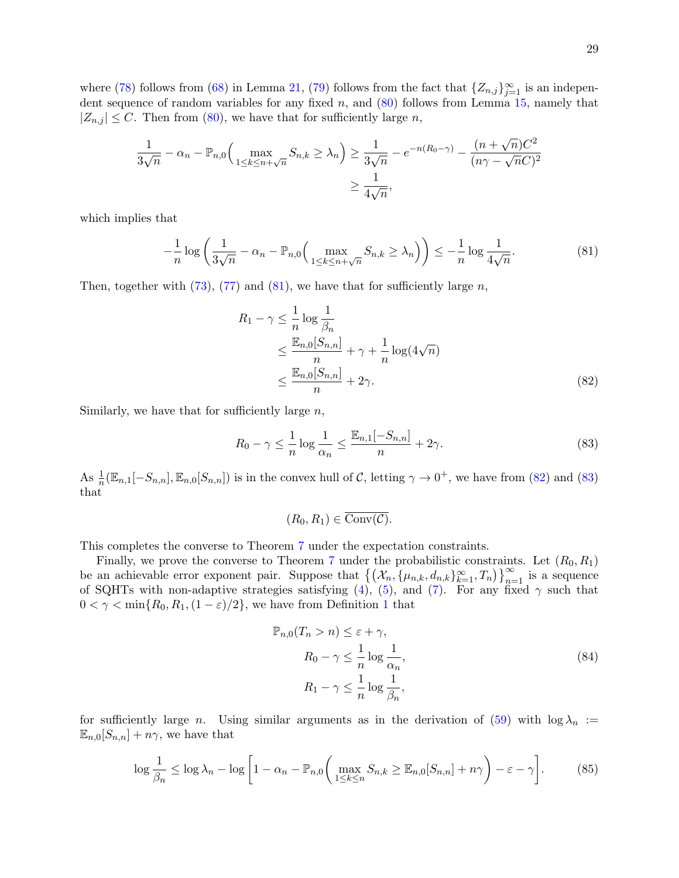where [\(78\)](#page-27-4) follows from [\(68\)](#page-26-5) in Lemma [21,](#page-26-1) [\(79\)](#page-27-5) follows from the fact that  $\{Z_{n,j}\}_{j=1}^{\infty}$  is an independent sequence of random variables for any fixed  $n$ , and  $(80)$  follows from Lemma [15,](#page-11-1) namely that  $|Z_{n,j}| \leq C$ . Then from [\(80\)](#page-27-6), we have that for sufficiently large n,

$$
\frac{1}{3\sqrt{n}} - \alpha_n - \mathbb{P}_{n,0} \Big( \max_{1 \le k \le n + \sqrt{n}} S_{n,k} \ge \lambda_n \Big) \ge \frac{1}{3\sqrt{n}} - e^{-n(R_0 - \gamma)} - \frac{(n + \sqrt{n})C^2}{(n\gamma - \sqrt{n}C)^2}
$$

$$
\ge \frac{1}{4\sqrt{n}},
$$

which implies that

$$
-\frac{1}{n}\log\left(\frac{1}{3\sqrt{n}}-\alpha_n-\mathbb{P}_{n,0}\left(\max_{1\leq k\leq n+\sqrt{n}}S_{n,k}\geq\lambda_n\right)\right)\leq-\frac{1}{n}\log\frac{1}{4\sqrt{n}}.\tag{81}
$$

Then, together with  $(73)$ ,  $(77)$  and  $(81)$ , we have that for sufficiently large n,

<span id="page-28-0"></span>
$$
R_1 - \gamma \leq \frac{1}{n} \log \frac{1}{\beta_n}
$$
  
\n
$$
\leq \frac{\mathbb{E}_{n,0}[S_{n,n}]}{n} + \gamma + \frac{1}{n} \log(4\sqrt{n})
$$
  
\n
$$
\leq \frac{\mathbb{E}_{n,0}[S_{n,n}]}{n} + 2\gamma.
$$
 (82)

Similarly, we have that for sufficiently large  $n$ ,

$$
R_0 - \gamma \le \frac{1}{n} \log \frac{1}{\alpha_n} \le \frac{\mathbb{E}_{n,1}[-S_{n,n}]}{n} + 2\gamma. \tag{83}
$$

As  $\frac{1}{n}(\mathbb{E}_{n,1}[-S_{n,n}], \mathbb{E}_{n,0}[S_{n,n}])$  is in the convex hull of C, letting  $\gamma \to 0^+$ , we have from [\(82\)](#page-28-1) and [\(83\)](#page-28-2) that

<span id="page-28-2"></span><span id="page-28-1"></span>
$$
(R_0, R_1) \in \overline{\text{Conv}(\mathcal{C})}.
$$

This completes the converse to Theorem [7](#page-8-1) under the expectation constraints.

Finally, we prove the converse to Theorem [7](#page-8-1) under the probabilistic constraints. Let  $(R_0, R_1)$ be an achievable error exponent pair. Suppose that  $\{(X_n, {\{\mu_{n,k}, d_{n,k}\}}_{k=1}^{\infty}, T_n)\}_{n=1}^{\infty}$  is a sequence of SQHTs with non-adaptive strategies satisfying [\(4\)](#page-6-0), [\(5\)](#page-6-1), and [\(7\)](#page-6-3). For any fixed  $\gamma$  such that  $0 < \gamma < \min\{R_0, R_1, (1 - \varepsilon)/2\}$  $0 < \gamma < \min\{R_0, R_1, (1 - \varepsilon)/2\}$  $0 < \gamma < \min\{R_0, R_1, (1 - \varepsilon)/2\}$ , we have from Definition 1 that

<span id="page-28-4"></span><span id="page-28-3"></span>
$$
\mathbb{P}_{n,0}(T_n > n) \le \varepsilon + \gamma,
$$
  
\n
$$
R_0 - \gamma \le \frac{1}{n} \log \frac{1}{\alpha_n},
$$
  
\n
$$
R_1 - \gamma \le \frac{1}{n} \log \frac{1}{\beta_n},
$$
\n(84)

for sufficiently large n. Using similar arguments as in the derivation of [\(59\)](#page-22-1) with  $\log \lambda_n :=$  $\mathbb{E}_{n,0}[S_{n,n}] + n\gamma$ , we have that

$$
\log \frac{1}{\beta_n} \le \log \lambda_n - \log \left[ 1 - \alpha_n - \mathbb{P}_{n,0} \left( \max_{1 \le k \le n} S_{n,k} \ge \mathbb{E}_{n,0} [S_{n,n}] + n \gamma \right) - \varepsilon - \gamma \right]. \tag{85}
$$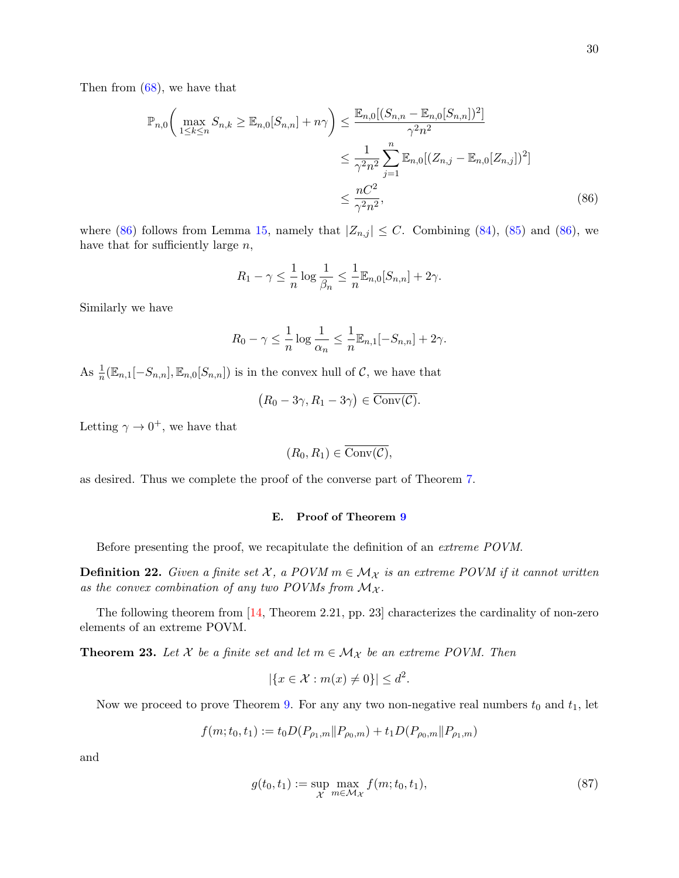Then from [\(68\)](#page-26-5), we have that

$$
\mathbb{P}_{n,0}\left(\max_{1\leq k\leq n} S_{n,k} \geq \mathbb{E}_{n,0}[S_{n,n}] + n\gamma\right) \leq \frac{\mathbb{E}_{n,0}[(S_{n,n} - \mathbb{E}_{n,0}[S_{n,n}])^2]}{\gamma^2 n^2} \n\leq \frac{1}{\gamma^2 n^2} \sum_{j=1}^n \mathbb{E}_{n,0}[(Z_{n,j} - \mathbb{E}_{n,0}[Z_{n,j}])^2] \n\leq \frac{nC^2}{\gamma^2 n^2},
$$
\n(86)

where [\(86\)](#page-29-1) follows from Lemma [15,](#page-11-1) namely that  $|Z_{n,j}| \leq C$ . Combining [\(84\)](#page-28-3), [\(85\)](#page-28-4) and (86), we have that for sufficiently large  $n$ ,

<span id="page-29-1"></span>
$$
R_1 - \gamma \leq \frac{1}{n} \log \frac{1}{\beta_n} \leq \frac{1}{n} \mathbb{E}_{n,0}[S_{n,n}] + 2\gamma.
$$

Similarly we have

$$
R_0 - \gamma \le \frac{1}{n} \log \frac{1}{\alpha_n} \le \frac{1}{n} \mathbb{E}_{n,1}[-S_{n,n}] + 2\gamma.
$$

As  $\frac{1}{n}(\mathbb{E}_{n,1}[-S_{n,n}], \mathbb{E}_{n,0}[S_{n,n}])$  is in the convex hull of  $\mathcal{C}$ , we have that

$$
(R_0 - 3\gamma, R_1 - 3\gamma) \in \overline{\text{Conv}(\mathcal{C})}.
$$

Letting  $\gamma \to 0^+$ , we have that

$$
(R_0, R_1) \in \overline{\text{Conv}(\mathcal{C})},
$$

as desired. Thus we complete the proof of the converse part of Theorem [7.](#page-8-1)

### <span id="page-29-0"></span>E. Proof of Theorem [9](#page-9-3)

Before presenting the proof, we recapitulate the definition of an extreme POVM.

**Definition 22.** Given a finite set X, a POVM  $m \in M_X$  is an extreme POVM if it cannot written as the convex combination of any two POVMs from  $M_{\mathcal{X}}$ .

The following theorem from [\[14,](#page-32-20) Theorem 2.21, pp. 23] characterizes the cardinality of non-zero elements of an extreme POVM.

<span id="page-29-2"></span>**Theorem 23.** Let X be a finite set and let  $m \in \mathcal{M}_{\mathcal{X}}$  be an extreme POVM. Then

<span id="page-29-3"></span>
$$
|\{x \in \mathcal{X} : m(x) \neq 0\}| \le d^2.
$$

Now we proceed to prove Theorem [9.](#page-9-3) For any any two non-negative real numbers  $t_0$  and  $t_1$ , let

$$
f(m; t_0, t_1) := t_0 D(P_{\rho_1, m} || P_{\rho_0, m}) + t_1 D(P_{\rho_0, m} || P_{\rho_1, m})
$$

and

$$
g(t_0, t_1) := \sup_{\mathcal{X}} \max_{m \in \mathcal{M}_{\mathcal{X}}} f(m; t_0, t_1),
$$
\n(87)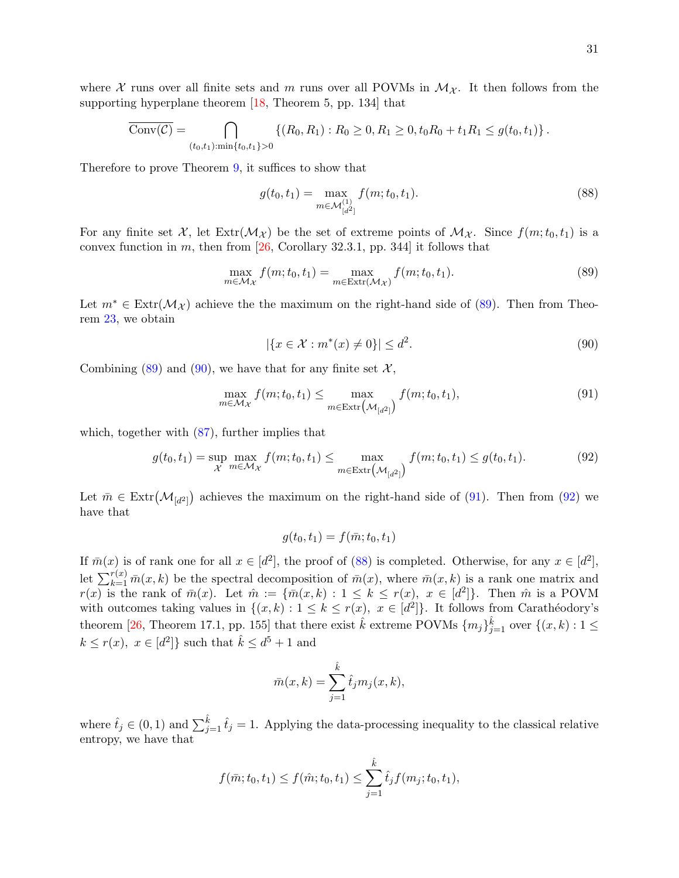$$
\overline{\mathrm{Conv}(\mathcal{C})} = \bigcap_{(t_0,t_1): \min\{t_0,t_1\} > 0} \left\{ (R_0,R_1) : R_0 \ge 0, R_1 \ge 0, t_0 R_0 + t_1 R_1 \le g(t_0,t_1) \right\}.
$$

Therefore to prove Theorem [9,](#page-9-3) it suffices to show that

<span id="page-30-4"></span>
$$
g(t_0, t_1) = \max_{m \in \mathcal{M}_{[d^2]}^{(1)}} f(m; t_0, t_1).
$$
 (88)

For any finite set X, let  $\text{Ext}(\mathcal{M}_\mathcal{X})$  be the set of extreme points of  $\mathcal{M}_\mathcal{X}$ . Since  $f(m; t_0, t_1)$  is a convex function in m, then from  $[26,$  Corollary 32.3.1, pp. 344] it follows that

$$
\max_{m \in \mathcal{M}_{\mathcal{X}}} f(m; t_0, t_1) = \max_{m \in \text{Extr}(\mathcal{M}_{\mathcal{X}})} f(m; t_0, t_1).
$$
\n(89)

Let  $m^* \in \text{Extr}(\mathcal{M}_\mathcal{X})$  achieve the the maximum on the right-hand side of [\(89\)](#page-30-0). Then from Theorem [23,](#page-29-2) we obtain

<span id="page-30-2"></span><span id="page-30-1"></span><span id="page-30-0"></span>
$$
|\{x \in \mathcal{X} : m^*(x) \neq 0\}| \le d^2. \tag{90}
$$

Combining  $(89)$  and  $(90)$ , we have that for any finite set X,

$$
\max_{m \in \mathcal{M}_{\mathcal{X}}} f(m; t_0, t_1) \le \max_{m \in \text{Extr}\left(\mathcal{M}_{[d^2]}\right)} f(m; t_0, t_1),\tag{91}
$$

which, together with  $(87)$ , further implies that

$$
g(t_0, t_1) = \sup_{\mathcal{X}} \max_{m \in \mathcal{M}_{\mathcal{X}}} f(m; t_0, t_1) \le \max_{m \in \text{Extr}\left(\mathcal{M}_{[d^2]}\right)} f(m; t_0, t_1) \le g(t_0, t_1). \tag{92}
$$

Let  $\bar{m} \in \text{Extr}(\mathcal{M}_{[d^2]})$  achieves the maximum on the right-hand side of [\(91\)](#page-30-2). Then from [\(92\)](#page-30-3) we have that

<span id="page-30-3"></span>
$$
g(t_0, t_1) = f(\bar{m}; t_0, t_1)
$$

If  $\bar{m}(x)$  is of rank one for all  $x \in [d^2]$ , the proof of [\(88\)](#page-30-4) is completed. Otherwise, for any  $x \in [d^2]$ , let  $\sum_{k=1}^{r(x)} \bar{m}(x, k)$  be the spectral decomposition of  $\bar{m}(x)$ , where  $\bar{m}(x, k)$  is a rank one matrix and  $r(x)$  is the rank of  $\bar{m}(x)$ . Let  $\hat{m} := \{ \bar{m}(x,k) : 1 \leq k \leq r(x), x \in [d^2] \}$ . Then  $\hat{m}$  is a POVM with outcomes taking values in  $\{(x,k): 1 \leq k \leq r(x), x \in [d^2]\}.$  It follows from Carathéodory's theorem [\[26,](#page-32-19) Theorem 17.1, pp. 155] that there exist  $\hat{k}$  extreme POVMs  $\{m_j\}_{j=1}^{\hat{k}}$  over  $\{(x,k): 1 \leq j \leq k\}$  $k \leq r(x)$ ,  $x \in [d^2]$  such that  $\hat{k} \leq d^5 + 1$  and

$$
\bar{m}(x,k) = \sum_{j=1}^{\hat{k}} \hat{t}_j m_j(x,k),
$$

where  $\hat{t}_j \in (0,1)$  and  $\sum_{j=1}^{\hat{k}} \hat{t}_j = 1$ . Applying the data-processing inequality to the classical relative entropy, we have that

$$
f(\bar{m}; t_0, t_1) \le f(\hat{m}; t_0, t_1) \le \sum_{j=1}^{\hat{k}} \hat{t}_j f(m_j; t_0, t_1),
$$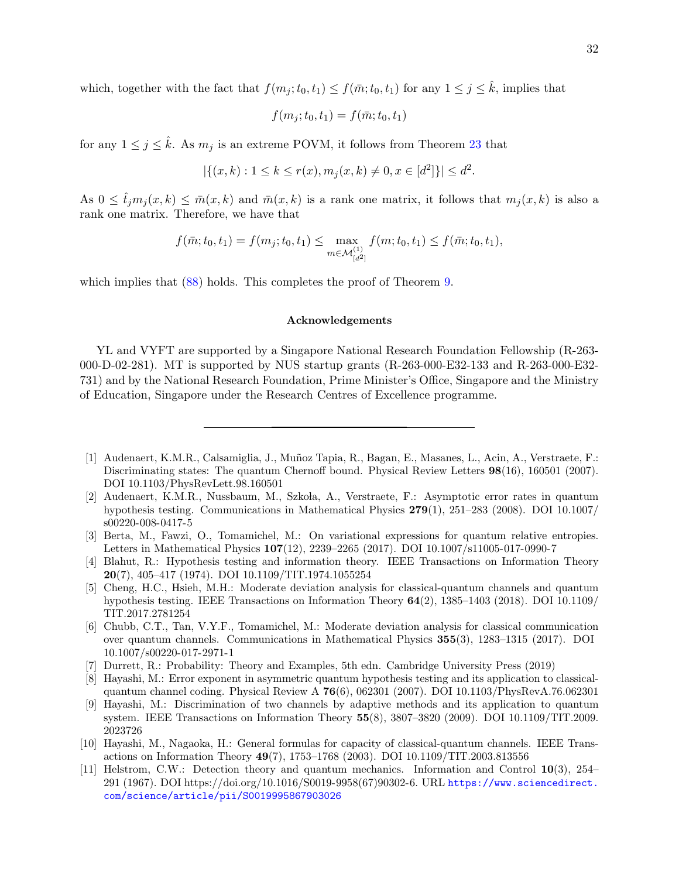which, together with the fact that  $f(m_j; t_0, t_1) \leq f(\bar{m}; t_0, t_1)$  for any  $1 \leq j \leq \hat{k}$ , implies that

$$
f(m_j; t_0, t_1) = f(\bar{m}; t_0, t_1)
$$

for any  $1 \leq j \leq \hat{k}$ . As  $m_j$  is an extreme POVM, it follows from Theorem [23](#page-29-2) that

$$
|\{(x,k): 1 \le k \le r(x), m_j(x,k) \neq 0, x \in [d^2]\}| \le d^2.
$$

As  $0 \leq \hat{t}_j m_j(x, k) \leq \bar{m}(x, k)$  and  $\bar{m}(x, k)$  is a rank one matrix, it follows that  $m_j(x, k)$  is also a rank one matrix. Therefore, we have that

$$
f(\bar{m}; t_0, t_1) = f(m_j; t_0, t_1) \le \max_{m \in \mathcal{M}_{[d^2]}^{(1)}} f(m; t_0, t_1) \le f(\bar{m}; t_0, t_1),
$$

which implies that  $(88)$  holds. This completes the proof of Theorem [9.](#page-9-3)

### Acknowledgements

YL and VYFT are supported by a Singapore National Research Foundation Fellowship (R-263- 000-D-02-281). MT is supported by NUS startup grants (R-263-000-E32-133 and R-263-000-E32- 731) and by the National Research Foundation, Prime Minister's Office, Singapore and the Ministry of Education, Singapore under the Research Centres of Excellence programme.

- <span id="page-31-2"></span>[2] Audenaert, K.M.R., Nussbaum, M., Szkoła, A., Verstraete, F.: Asymptotic error rates in quantum hypothesis testing. Communications in Mathematical Physics 279(1), 251–283 (2008). DOI 10.1007/ s00220-008-0417-5
- <span id="page-31-10"></span>[3] Berta, M., Fawzi, O., Tomamichel, M.: On variational expressions for quantum relative entropies. Letters in Mathematical Physics 107(12), 2239–2265 (2017). DOI 10.1007/s11005-017-0990-7
- <span id="page-31-8"></span>[4] Blahut, R.: Hypothesis testing and information theory. IEEE Transactions on Information Theory 20(7), 405–417 (1974). DOI 10.1109/TIT.1974.1055254
- <span id="page-31-5"></span>[5] Cheng, H.C., Hsieh, M.H.: Moderate deviation analysis for classical-quantum channels and quantum hypothesis testing. IEEE Transactions on Information Theory 64(2), 1385–1403 (2018). DOI 10.1109/ TIT.2017.2781254
- <span id="page-31-6"></span>[6] Chubb, C.T., Tan, V.Y.F., Tomamichel, M.: Moderate deviation analysis for classical communication over quantum channels. Communications in Mathematical Physics 355(3), 1283–1315 (2017). DOI 10.1007/s00220-017-2971-1
- <span id="page-31-9"></span>[7] Durrett, R.: Probability: Theory and Examples, 5th edn. Cambridge University Press (2019)
- <span id="page-31-3"></span>[8] Hayashi, M.: Error exponent in asymmetric quantum hypothesis testing and its application to classicalquantum channel coding. Physical Review A 76(6), 062301 (2007). DOI 10.1103/PhysRevA.76.062301
- <span id="page-31-7"></span>[9] Hayashi, M.: Discrimination of two channels by adaptive methods and its application to quantum system. IEEE Transactions on Information Theory 55(8), 3807–3820 (2009). DOI 10.1109/TIT.2009. 2023726
- <span id="page-31-1"></span>[10] Hayashi, M., Nagaoka, H.: General formulas for capacity of classical-quantum channels. IEEE Transactions on Information Theory 49(7), 1753–1768 (2003). DOI 10.1109/TIT.2003.813556
- <span id="page-31-0"></span>[11] Helstrom, C.W.: Detection theory and quantum mechanics. Information and Control 10(3), 254– 291 (1967). DOI https://doi.org/10.1016/S0019-9958(67)90302-6. URL [https://www.sciencedirect.](https://www.sciencedirect.com/science/article/pii/S0019995867903026) [com/science/article/pii/S0019995867903026](https://www.sciencedirect.com/science/article/pii/S0019995867903026)

<span id="page-31-4"></span><sup>[1]</sup> Audenaert, K.M.R., Calsamiglia, J., Muñoz Tapia, R., Bagan, E., Masanes, L., Acin, A., Verstraete, F.: Discriminating states: The quantum Chernoff bound. Physical Review Letters  $98(16)$ , 160501 (2007). DOI 10.1103/PhysRevLett.98.160501